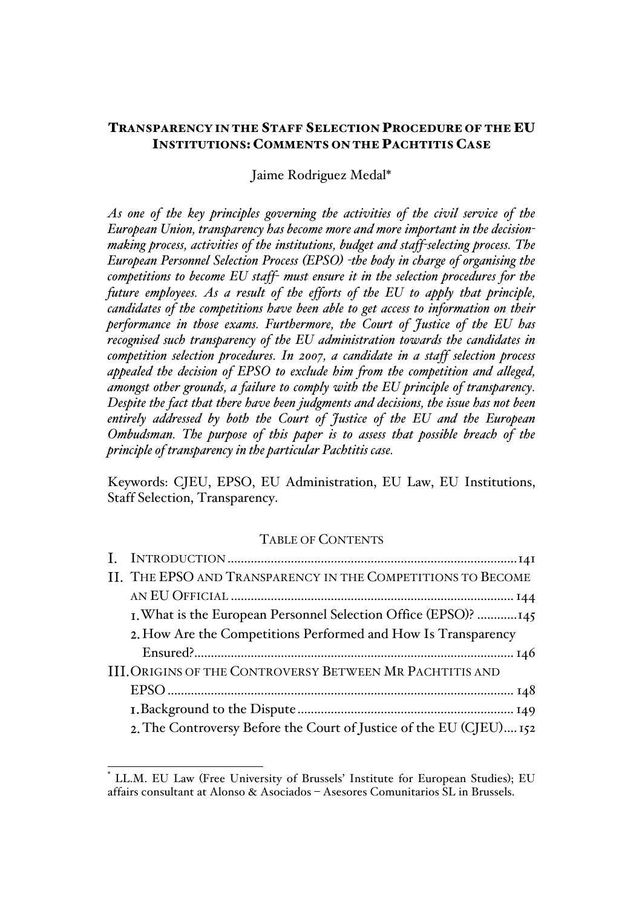# TRANSPARENCY IN THE STAFF SELECTION PROCEDURE OF THE EU INSTITUTIONS: COMMENTS ON THE PACHTITIS CASE

Jaime Rodriguez Medal\*

*As one of the key principles governing the activities of the civil service of the European Union, transparency has become more and more important in the decisionmaking process, activities of the institutions, budget and staff-selecting process. The European Personnel Selection Process (EPSO) -the body in charge of organising the competitions to become EU staff- must ensure it in the selection procedures for the future employees. As a result of the efforts of the EU to apply that principle, candidates of the competitions have been able to get access to information on their performance in those exams. Furthermore, the Court of Justice of the EU has recognised such transparency of the EU administration towards the candidates in competition selection procedures. In 2007, a candidate in a staff selection process appealed the decision of EPSO to exclude him from the competition and alleged, amongst other grounds, a failure to comply with the EU principle of transparency. Despite the fact that there have been judgments and decisions, the issue has not been entirely addressed by both the Court of Justice of the EU and the European Ombudsman. The purpose of this paper is to assess that possible breach of the principle of transparency in the particular Pachtitis case.* 

Keywords: CJEU, EPSO, EU Administration, EU Law, EU Institutions, Staff Selection, Transparency.

# TABLE OF CONTENTS

| II. THE EPSO AND TRANSPARENCY IN THE COMPETITIONS TO BECOME         |  |  |
|---------------------------------------------------------------------|--|--|
|                                                                     |  |  |
| I. What is the European Personnel Selection Office (EPSO)? 145      |  |  |
| 2. How Are the Competitions Performed and How Is Transparency       |  |  |
|                                                                     |  |  |
| <b>III. ORIGINS OF THE CONTROVERSY BETWEEN MR PACHTITIS AND</b>     |  |  |
|                                                                     |  |  |
|                                                                     |  |  |
| 2. The Controversy Before the Court of Justice of the EU (CJEU) 152 |  |  |
|                                                                     |  |  |

 <sup>\*</sup> LL.M. EU Law (Free University of Brussels' Institute for European Studies); EU affairs consultant at Alonso & Asociados – Asesores Comunitarios SL in Brussels.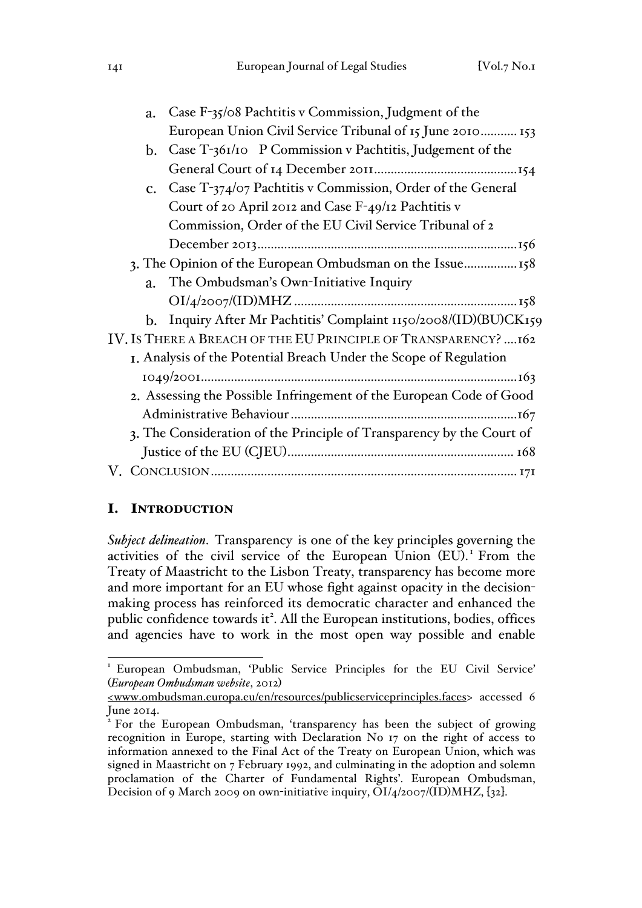| I4I | European Journal of Legal Studies | [Vol.7 No.1] |
|-----|-----------------------------------|--------------|
|     |                                   |              |

|                                                                     | Case $F_{35}/\circ$ 8 Pachtitis v Commission, Judgment of the<br>a.   |                                                               |  |  |  |
|---------------------------------------------------------------------|-----------------------------------------------------------------------|---------------------------------------------------------------|--|--|--|
|                                                                     |                                                                       | European Union Civil Service Tribunal of 15 June 2010 153     |  |  |  |
|                                                                     | $\mathbf{b}$ .                                                        | Case T-361/10 P Commission v Pachtitis, Judgement of the      |  |  |  |
|                                                                     |                                                                       |                                                               |  |  |  |
|                                                                     | $\mathbf{C}$ .                                                        | Case T-374/07 Pachtitis v Commission, Order of the General    |  |  |  |
|                                                                     |                                                                       | Court of 20 April 2012 and Case F-49/12 Pachtitis v           |  |  |  |
|                                                                     |                                                                       | Commission, Order of the EU Civil Service Tribunal of 2       |  |  |  |
|                                                                     |                                                                       |                                                               |  |  |  |
| 3. The Opinion of the European Ombudsman on the Issue158            |                                                                       |                                                               |  |  |  |
|                                                                     | a.                                                                    | The Ombudsman's Own-Initiative Inquiry                        |  |  |  |
|                                                                     |                                                                       |                                                               |  |  |  |
|                                                                     | b.                                                                    | Inquiry After Mr Pachtitis' Complaint 1150/2008/(ID)(BU)CK159 |  |  |  |
| IV. IS THERE A BREACH OF THE EU PRINCIPLE OF TRANSPARENCY? 162      |                                                                       |                                                               |  |  |  |
| I. Analysis of the Potential Breach Under the Scope of Regulation   |                                                                       |                                                               |  |  |  |
|                                                                     |                                                                       |                                                               |  |  |  |
| 2. Assessing the Possible Infringement of the European Code of Good |                                                                       |                                                               |  |  |  |
|                                                                     |                                                                       |                                                               |  |  |  |
|                                                                     | 3. The Consideration of the Principle of Transparency by the Court of |                                                               |  |  |  |
|                                                                     |                                                                       |                                                               |  |  |  |
|                                                                     |                                                                       |                                                               |  |  |  |
|                                                                     |                                                                       |                                                               |  |  |  |

# I. INTRODUCTION

*Subject delineation*. Transparency is one of the key principles governing the activities of the civil service of the European Union (EU). <sup>1</sup> From the Treaty of Maastricht to the Lisbon Treaty, transparency has become more and more important for an EU whose fight against opacity in the decisionmaking process has reinforced its democratic character and enhanced the public confidence towards it<sup>2</sup>. All the European institutions, bodies, offices and agencies have to work in the most open way possible and enable

<sup>&</sup>lt;sup>1</sup> European Ombudsman, 'Public Service Principles for the EU Civil Service' (*European Ombudsman website*, 2012)

<sup>&</sup>lt;www.ombudsman.europa.eu/en/resources/publicserviceprinciples.faces> accessed 6 June 2014.

<sup>2</sup> For the European Ombudsman, 'transparency has been the subject of growing recognition in Europe, starting with Declaration No 17 on the right of access to information annexed to the Final Act of the Treaty on European Union, which was signed in Maastricht on 7 February 1992, and culminating in the adoption and solemn proclamation of the Charter of Fundamental Rights'. European Ombudsman, Decision of 9 March 2009 on own-initiative inquiry,  $\text{OI}/\text{4}/\text{2007}/(\text{ID})\text{MHz}$ ,  $\{32\}$ .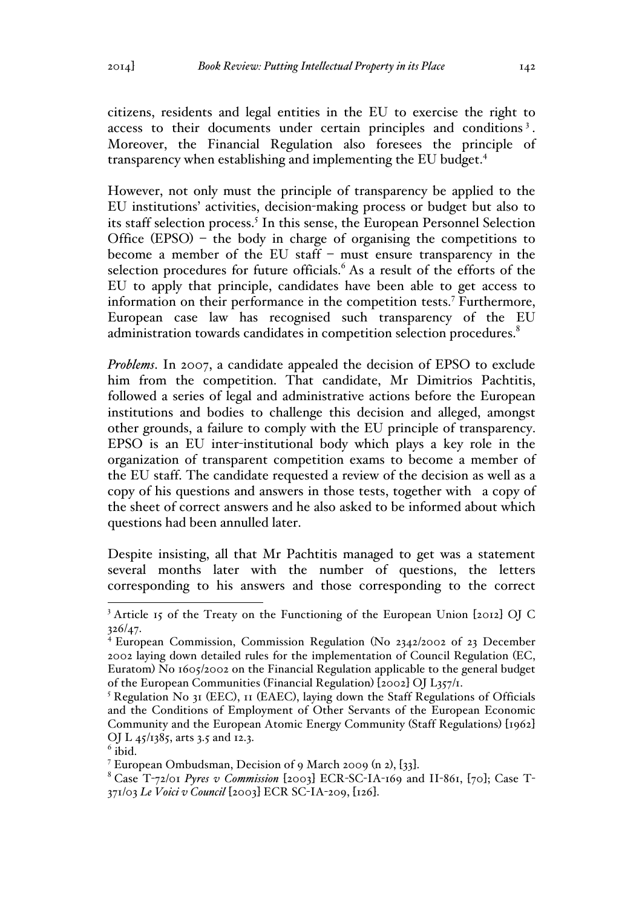citizens, residents and legal entities in the EU to exercise the right to access to their documents under certain principles and conditions<sup>3</sup>. Moreover, the Financial Regulation also foresees the principle of transparency when establishing and implementing the EU budget.4

However, not only must the principle of transparency be applied to the EU institutions' activities, decision-making process or budget but also to its staff selection process.<sup>5</sup> In this sense, the European Personnel Selection Office  $(EPSO)$  – the body in charge of organising the competitions to become a member of the EU staff – must ensure transparency in the selection procedures for future officials. $6$  As a result of the efforts of the EU to apply that principle, candidates have been able to get access to information on their performance in the competition tests.<sup>7</sup> Furthermore, European case law has recognised such transparency of the EU administration towards candidates in competition selection procedures.<sup>8</sup>

*Problems*. In 2007, a candidate appealed the decision of EPSO to exclude him from the competition. That candidate, Mr Dimitrios Pachtitis, followed a series of legal and administrative actions before the European institutions and bodies to challenge this decision and alleged, amongst other grounds, a failure to comply with the EU principle of transparency. EPSO is an EU inter-institutional body which plays a key role in the organization of transparent competition exams to become a member of the EU staff. The candidate requested a review of the decision as well as a copy of his questions and answers in those tests, together with a copy of the sheet of correct answers and he also asked to be informed about which questions had been annulled later.

Despite insisting, all that Mr Pachtitis managed to get was a statement several months later with the number of questions, the letters corresponding to his answers and those corresponding to the correct

<sup>&</sup>lt;sup>3</sup> Article 15 of the Treaty on the Functioning of the European Union [2012] OJ C 326/47.

<sup>4</sup> European Commission, Commission Regulation (No 2342/2002 of 23 December 2002 laying down detailed rules for the implementation of Council Regulation (EC, Euratom) No 1605/2002 on the Financial Regulation applicable to the general budget of the European Communities (Financial Regulation) [2002] OJ L357/1.

<sup>&</sup>lt;sup>5</sup> Regulation No 31 (EEC), 11 (EAEC), laying down the Staff Regulations of Officials and the Conditions of Employment of Other Servants of the European Economic Community and the European Atomic Energy Community (Staff Regulations) [1962] OJ L 45/1385, arts 3.5 and 12.3.

<sup>&</sup>lt;sup>6</sup> ibid.<br><sup>7</sup> European Ombudsman, Decision of 9 March 2009 (n 2), [33].

<sup>&</sup>lt;sup>8</sup> Case T-72/01 *Pyres v Commission* [2003] ECR-SC-IA-169 and II-861, [70]; Case T-371/03 *Le Voici v Council* [2003] ECR SC-IA-209, [126].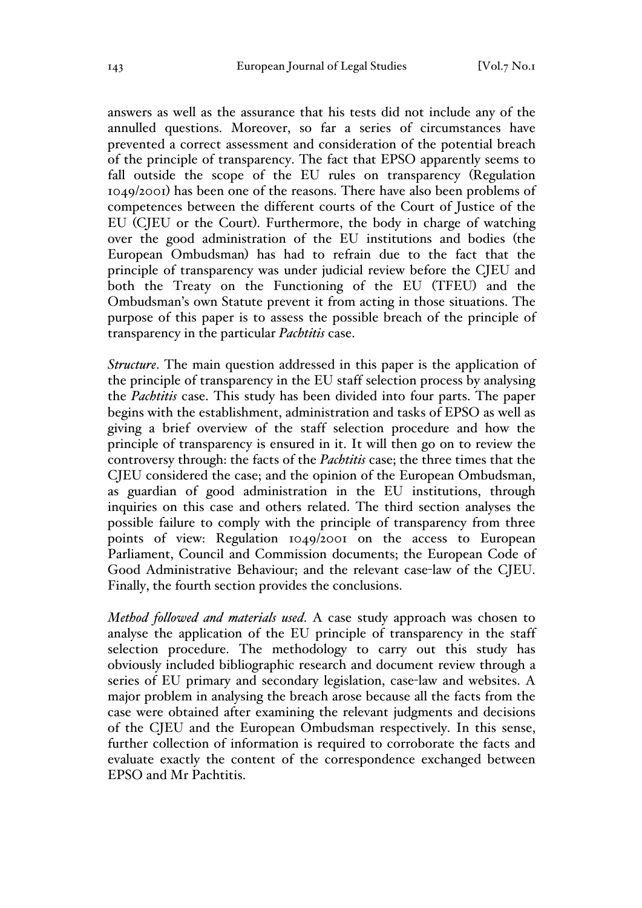answers as well as the assurance that his tests did not include any of the annulled questions. Moreover, so far a series of circumstances have prevented a correct assessment and consideration of the potential breach of the principle of transparency. The fact that EPSO apparently seems to fall outside the scope of the EU rules on transparency (Regulation 1049/2001) has been one of the reasons. There have also been problems of competences between the different courts of the Court of Justice of the EU (CJEU or the Court). Furthermore, the body in charge of watching over the good administration of the EU institutions and bodies (the European Ombudsman) has had to refrain due to the fact that the principle of transparency was under judicial review before the CJEU and both the Treaty on the Functioning of the EU (TFEU) and the Ombudsman's own Statute prevent it from acting in those situations. The purpose of this paper is to assess the possible breach of the principle of transparency in the particular *Pachtitis* case.

*Structure*. The main question addressed in this paper is the application of the principle of transparency in the EU staff selection process by analysing the *Pachtitis* case. This study has been divided into four parts. The paper begins with the establishment, administration and tasks of EPSO as well as giving a brief overview of the staff selection procedure and how the principle of transparency is ensured in it. It will then go on to review the controversy through: the facts of the *Pachtitis* case; the three times that the CJEU considered the case; and the opinion of the European Ombudsman, as guardian of good administration in the EU institutions, through inquiries on this case and others related. The third section analyses the possible failure to comply with the principle of transparency from three points of view: Regulation 1049/2001 on the access to European Parliament, Council and Commission documents; the European Code of Good Administrative Behaviour; and the relevant case-law of the CJEU. Finally, the fourth section provides the conclusions.

*Method followed and materials used*. A case study approach was chosen to analyse the application of the EU principle of transparency in the staff selection procedure. The methodology to carry out this study has obviously included bibliographic research and document review through a series of EU primary and secondary legislation, case-law and websites. A major problem in analysing the breach arose because all the facts from the case were obtained after examining the relevant judgments and decisions of the CJEU and the European Ombudsman respectively. In this sense, further collection of information is required to corroborate the facts and evaluate exactly the content of the correspondence exchanged between EPSO and Mr Pachtitis.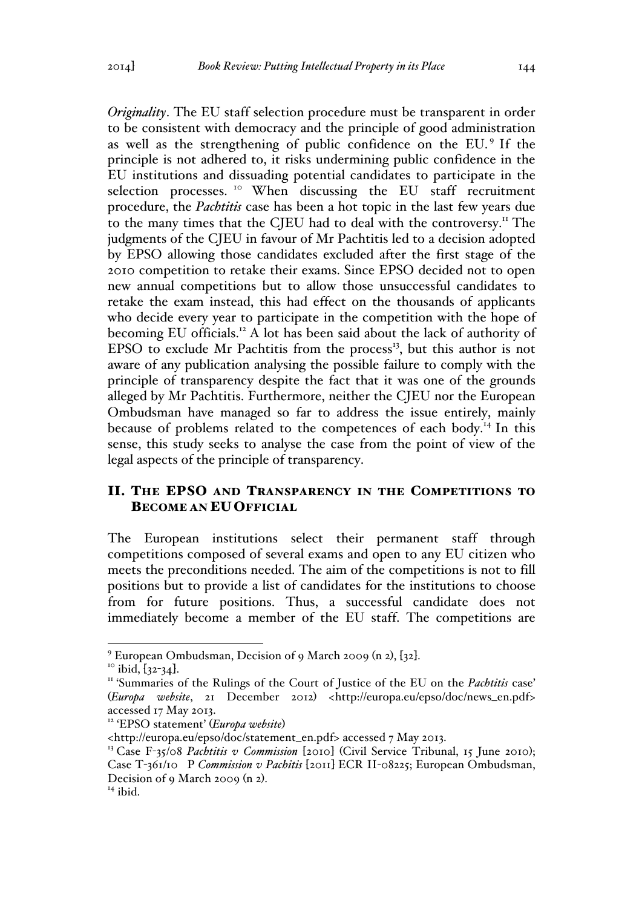*Originality*. The EU staff selection procedure must be transparent in order to be consistent with democracy and the principle of good administration as well as the strengthening of public confidence on the EU. <sup>9</sup> If the principle is not adhered to, it risks undermining public confidence in the EU institutions and dissuading potential candidates to participate in the selection processes.<sup>10</sup> When discussing the EU staff recruitment procedure, the *Pachtitis* case has been a hot topic in the last few years due to the many times that the CJEU had to deal with the controversy.<sup>11</sup> The judgments of the CJEU in favour of Mr Pachtitis led to a decision adopted by EPSO allowing those candidates excluded after the first stage of the 2010 competition to retake their exams. Since EPSO decided not to open new annual competitions but to allow those unsuccessful candidates to retake the exam instead, this had effect on the thousands of applicants who decide every year to participate in the competition with the hope of becoming EU officials.<sup>12</sup> A lot has been said about the lack of authority of EPSO to exclude Mr Pachtitis from the process<sup>13</sup>, but this author is not aware of any publication analysing the possible failure to comply with the principle of transparency despite the fact that it was one of the grounds alleged by Mr Pachtitis. Furthermore, neither the CJEU nor the European Ombudsman have managed so far to address the issue entirely, mainly because of problems related to the competences of each body.<sup>14</sup> In this sense, this study seeks to analyse the case from the point of view of the legal aspects of the principle of transparency.

# II. THE EPSO AND TRANSPARENCY IN THE COMPETITIONS TO BECOME AN EU OFFICIAL

The European institutions select their permanent staff through competitions composed of several exams and open to any EU citizen who meets the preconditions needed. The aim of the competitions is not to fill positions but to provide a list of candidates for the institutions to choose from for future positions. Thus, a successful candidate does not immediately become a member of the EU staff. The competitions are

<sup>&</sup>lt;sup>9</sup> European Ombudsman, Decision of 9 March 2009 (n 2), [32].<br><sup>10</sup> ibid, [32-34].<br><sup>11</sup> 'Summaries of the Rulings of the Court of Justice of the EU on the *Pachtitis* case' (*Europa website*, 21 December 2012) <http://europa.eu/epso/doc/news\_en.pdf> accessed 17 May 2013.

<sup>12</sup> 'EPSO statement' (*Europa website*)

<sup>&</sup>lt;http://europa.eu/epso/doc/statement\_en.pdf> accessed 7 May 2013.

<sup>&</sup>lt;sup>13</sup> Case F-35/08 *Pachtitis v Commission* [2010] (Civil Service Tribunal, 15 June 2010); Case T-361/10 P *Commission v Pachitis* [2011] ECR II-08225; European Ombudsman, Decision of 9 March 2009 (n 2). <sup>14</sup> ibid.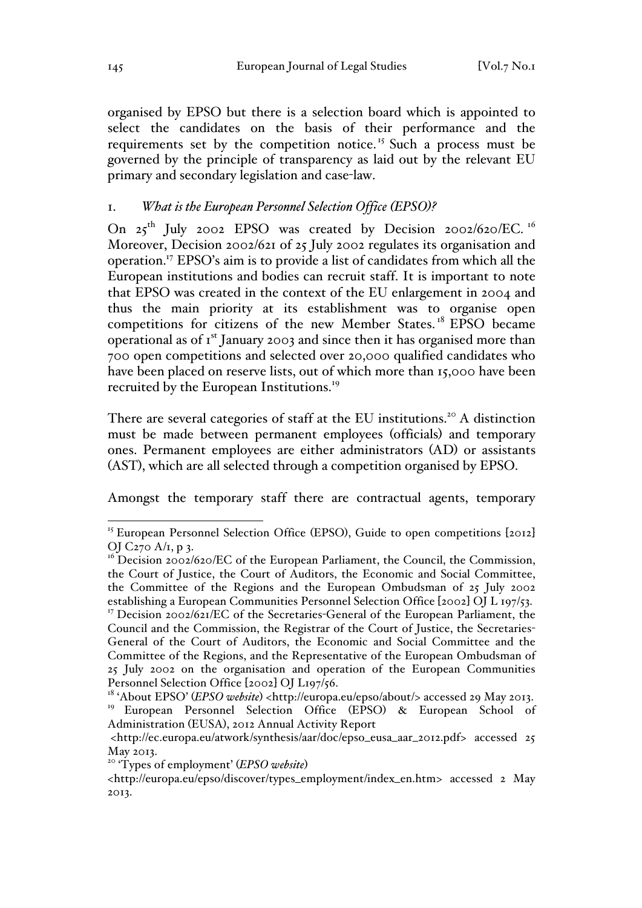organised by EPSO but there is a selection board which is appointed to select the candidates on the basis of their performance and the requirements set by the competition notice.<sup>15</sup> Such a process must be governed by the principle of transparency as laid out by the relevant EU primary and secondary legislation and case-law.

# 1. *What is the European Personnel Selection Office (EPSO)?*

On 25<sup>th</sup> July 2002 EPSO was created by Decision 2002/620/EC.<sup>16</sup> Moreover, Decision 2002/621 of 25 July 2002 regulates its organisation and operation.17 EPSO's aim is to provide a list of candidates from which all the European institutions and bodies can recruit staff. It is important to note that EPSO was created in the context of the EU enlargement in 2004 and thus the main priority at its establishment was to organise open competitions for citizens of the new Member States. <sup>18</sup> EPSO became operational as of  $I^{st}$  January 2003 and since then it has organised more than 700 open competitions and selected over 20,000 qualified candidates who have been placed on reserve lists, out of which more than 15,000 have been recruited by the European Institutions.<sup>19</sup>

There are several categories of staff at the EU institutions.<sup>20</sup> A distinction must be made between permanent employees (officials) and temporary ones. Permanent employees are either administrators (AD) or assistants (AST), which are all selected through a competition organised by EPSO.

Amongst the temporary staff there are contractual agents, temporary

<sup>&</sup>lt;sup>15</sup> European Personnel Selection Office (EPSO), Guide to open competitions [2012] OJ C270 A/1, p 3.

 $16$  Decision 2002/620/EC of the European Parliament, the Council, the Commission, the Court of Justice, the Court of Auditors, the Economic and Social Committee, the Committee of the Regions and the European Ombudsman of 25 July 2002 establishing a European Communities Personnel Selection Office [2002] OJ L 197/53. <sup>17</sup> Decision 2002/621/EC of the Secretaries-General of the European Parliament, the Council and the Commission, the Registrar of the Court of Justice, the Secretaries-General of the Court of Auditors, the Economic and Social Committee and the Committee of the Regions, and the Representative of the European Ombudsman of 25 July 2002 on the organisation and operation of the European Communities Personnel Selection Office [2002] OJ L197/56.

<sup>&</sup>lt;sup>18</sup> 'About EPSO' (*EPSO website*) <http://europa.eu/epso/about/> accessed 29 May 2013. <sup>19</sup> European Personnel Selection Office (EPSO) & European School of Administration (EUSA), 2012 Annual Activity Report

<sup>&</sup>lt;http://ec.europa.eu/atwork/synthesis/aar/doc/epso\_eusa\_aar\_2012.pdf> accessed 25 May 2013.

<sup>20</sup> 'Types of employment' (*EPSO website*)

<sup>&</sup>lt;http://europa.eu/epso/discover/types\_employment/index\_en.htm> accessed 2 May 2013.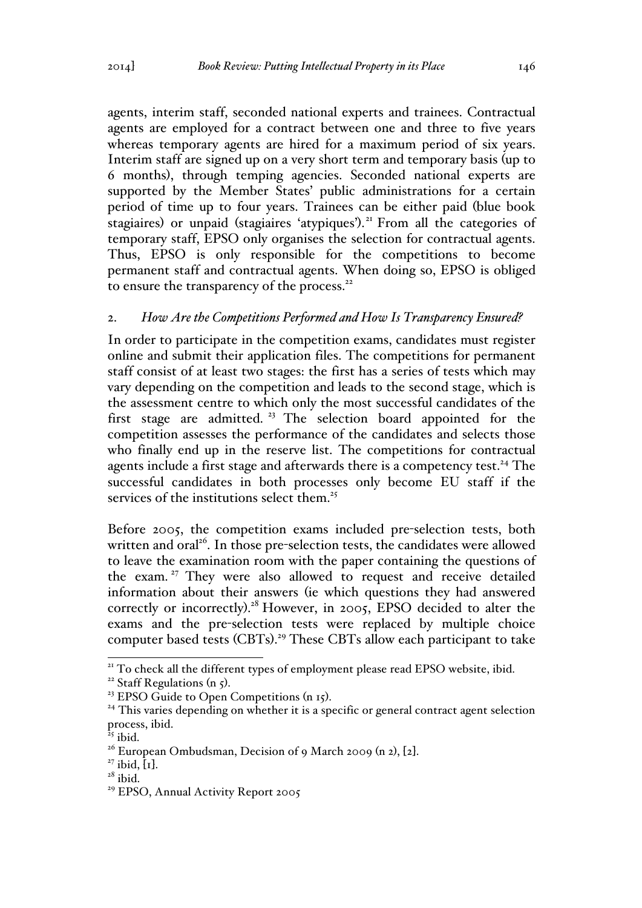agents, interim staff, seconded national experts and trainees. Contractual agents are employed for a contract between one and three to five years whereas temporary agents are hired for a maximum period of six years. Interim staff are signed up on a very short term and temporary basis (up to 6 months), through temping agencies. Seconded national experts are supported by the Member States' public administrations for a certain period of time up to four years. Trainees can be either paid (blue book stagiaires) or unpaid (stagiaires 'atypiques'). <sup>21</sup> From all the categories of temporary staff, EPSO only organises the selection for contractual agents. Thus, EPSO is only responsible for the competitions to become permanent staff and contractual agents. When doing so, EPSO is obliged to ensure the transparency of the process.<sup>22</sup>

## 2. *How Are the Competitions Performed and How Is Transparency Ensured?*

In order to participate in the competition exams, candidates must register online and submit their application files. The competitions for permanent staff consist of at least two stages: the first has a series of tests which may vary depending on the competition and leads to the second stage, which is the assessment centre to which only the most successful candidates of the first stage are admitted.<sup>23</sup> The selection board appointed for the competition assesses the performance of the candidates and selects those who finally end up in the reserve list. The competitions for contractual agents include a first stage and afterwards there is a competency test.<sup>24</sup> The successful candidates in both processes only become EU staff if the services of the institutions select them.<sup>25</sup>

Before 2005, the competition exams included pre-selection tests, both written and oral<sup>26</sup>. In those pre-selection tests, the candidates were allowed to leave the examination room with the paper containing the questions of the exam.<sup>27</sup> They were also allowed to request and receive detailed information about their answers (ie which questions they had answered correctly or incorrectly).<sup>28</sup> However, in 2005, EPSO decided to alter the exams and the pre-selection tests were replaced by multiple choice computer based tests (CBTs). <sup>29</sup> These CBTs allow each participant to take

<sup>&</sup>lt;sup>21</sup> To check all the different types of employment please read EPSO website, ibid.<br><sup>22</sup> Staff Regulations (n 5).<br><sup>23</sup> EPSO Guide to Open Competitions (n 15).<br><sup>24</sup> This varies depending on whether it is a specific or gene

process, ibid.

 $25$  ibid.

<sup>&</sup>lt;sup>26</sup> European Ombudsman, Decision of 9 March 2009 (n 2), [2].<br><sup>27</sup> ibid, [1].<br><sup>28</sup> ibid.

<sup>&</sup>lt;sup>29</sup> EPSO, Annual Activity Report 2005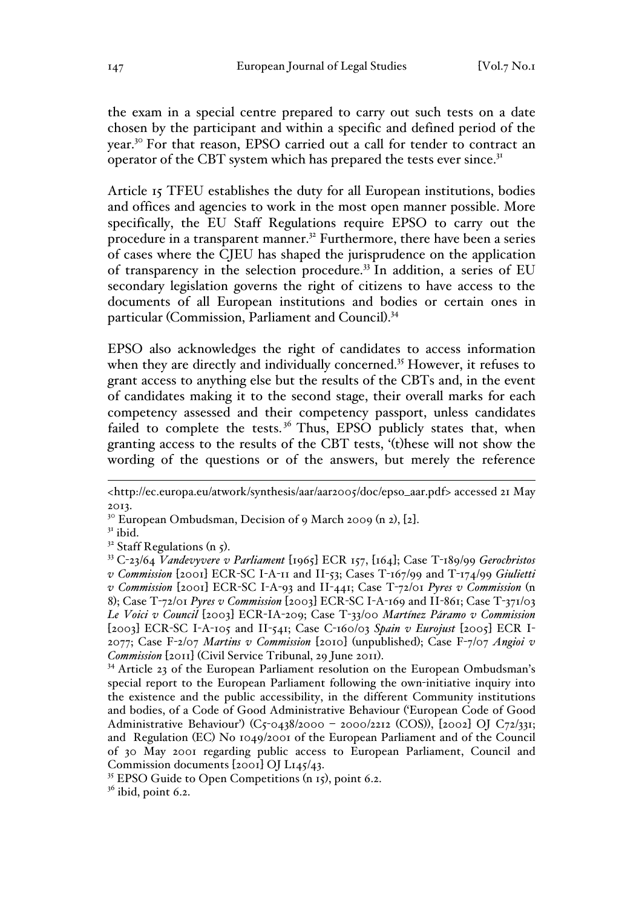the exam in a special centre prepared to carry out such tests on a date chosen by the participant and within a specific and defined period of the year.<sup>30</sup> For that reason, EPSO carried out a call for tender to contract an operator of the CBT system which has prepared the tests ever since. $3<sup>T</sup>$ 

Article 15 TFEU establishes the duty for all European institutions, bodies and offices and agencies to work in the most open manner possible. More specifically, the EU Staff Regulations require EPSO to carry out the procedure in a transparent manner.<sup>32</sup> Furthermore, there have been a series of cases where the CJEU has shaped the jurisprudence on the application of transparency in the selection procedure.<sup>33</sup> In addition, a series of EU secondary legislation governs the right of citizens to have access to the documents of all European institutions and bodies or certain ones in particular (Commission, Parliament and Council).<sup>34</sup>

EPSO also acknowledges the right of candidates to access information when they are directly and individually concerned.<sup>35</sup> However, it refuses to grant access to anything else but the results of the CBTs and, in the event of candidates making it to the second stage, their overall marks for each competency assessed and their competency passport, unless candidates failed to complete the tests.<sup>36</sup> Thus, EPSO publicly states that, when granting access to the results of the CBT tests, '(t)hese will not show the wording of the questions or of the answers, but merely the reference

<sup>30</sup> European Ombudsman, Decision of 9 March 2009 (n 2),  $[2]$ .<br><sup>31</sup> ibid.

 $35$  EPSO Guide to Open Competitions (n 15), point 6.2.

 $36$  ibid, point 6.2.

 <sup>&</sup>lt;http://ec.europa.eu/atwork/synthesis/aar/aar2005/doc/epso\_aar.pdf> accessed 21 May 2013.

<sup>32</sup> Staff Regulations (n 5). 33 <sup>C</sup>-23/64 *Vandevyvere v Parliament* [1965] ECR 157, [164]; Case T-189/99 *Gerochristos v Commission* [2001] ECR-SC I-A-11 and II-53; Cases T-167/99 and T-174/99 *Giulietti v Commission* [2001] ECR-SC I-A-93 and II-441; Case T-72/01 *Pyres v Commission* (n 8); Case T-72/01 *Pyres v Commission* [2003] ECR-SC I-A-169 and II-861; Case T-371/03 *Le Voici v Council* [2003] ECR-IA-209; Case T-33/00 *Martínez Páramo v Commission* [2003] ECR-SC I-A-105 and II-541; Case C-160/03 *Spain v Eurojust* [2005] ECR I-2077; Case F-2/07 *Martins v Commission* [2010] (unpublished); Case F-7/07 *Angioi v Commission* [2011] (Civil Service Tribunal, 29 June 2011).<br><sup>34</sup> Article 23 of the European Parliament resolution on the European Ombudsman's

special report to the European Parliament following the own-initiative inquiry into the existence and the public accessibility, in the different Community institutions and bodies, of a Code of Good Administrative Behaviour ('European Code of Good Administrative Behaviour') (C5-0438/2000 - 2000/2212 (COS)), [2002] OJ C72/331; and Regulation (EC) No 1049/2001 of the European Parliament and of the Council of 30 May 2001 regarding public access to European Parliament, Council and Commission documents [2001] OJ L145/43.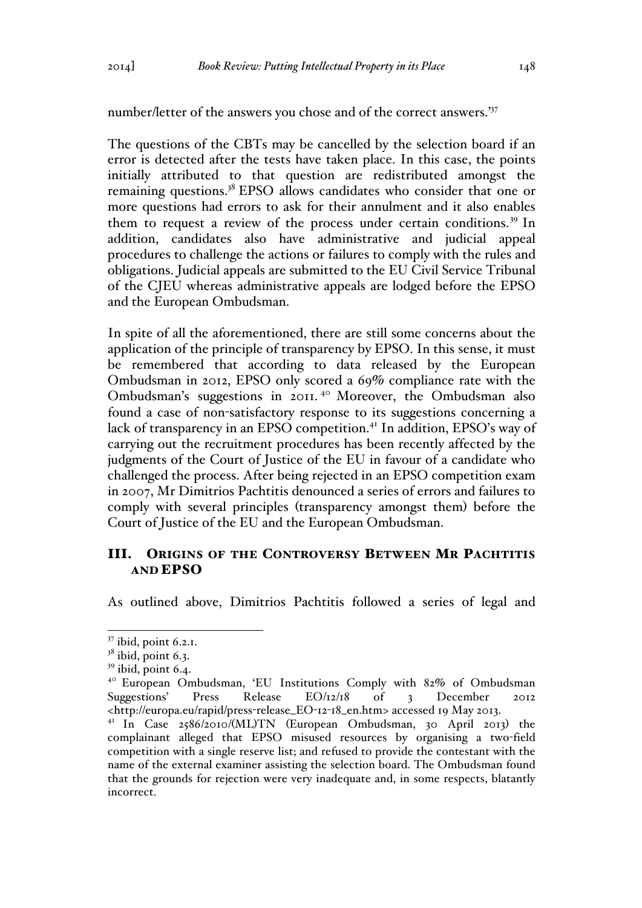number/letter of the answers you chose and of the correct answers.'<sup>37</sup>

The questions of the CBTs may be cancelled by the selection board if an error is detected after the tests have taken place. In this case, the points initially attributed to that question are redistributed amongst the remaining questions.<sup>38</sup> EPSO allows candidates who consider that one or more questions had errors to ask for their annulment and it also enables them to request a review of the process under certain conditions.<sup>39</sup> In addition, candidates also have administrative and judicial appeal procedures to challenge the actions or failures to comply with the rules and obligations. Judicial appeals are submitted to the EU Civil Service Tribunal of the CJEU whereas administrative appeals are lodged before the EPSO and the European Ombudsman.

In spite of all the aforementioned, there are still some concerns about the application of the principle of transparency by EPSO. In this sense, it must be remembered that according to data released by the European Ombudsman in 2012, EPSO only scored a 69% compliance rate with the Ombudsman's suggestions in 2011. <sup>40</sup> Moreover, the Ombudsman also found a case of non-satisfactory response to its suggestions concerning a lack of transparency in an EPSO competition.<sup>41</sup> In addition, EPSO's way of carrying out the recruitment procedures has been recently affected by the judgments of the Court of Justice of the EU in favour of a candidate who challenged the process. After being rejected in an EPSO competition exam in 2007, Mr Dimitrios Pachtitis denounced a series of errors and failures to comply with several principles (transparency amongst them) before the Court of Justice of the EU and the European Ombudsman.

# III. ORIGINS OF THE CONTROVERSY BETWEEN MR PACHTITIS AND EPSO

As outlined above, Dimitrios Pachtitis followed a series of legal and

 <sup>37</sup> ibid, point 6.2.1.

 $38$  ibid, point 6.3.

 $39$  ibid, point 6.4.

<sup>40</sup> European Ombudsman, 'EU Institutions Comply with 82% of Ombudsman Suggestions' Press Release EO/12/18 of 3 December 2012 <http://europa.eu/rapid/press-release\_EO-12-18\_en.htm> accessed 19 May 2013.

<sup>41</sup> In Case 2586/2010/(ML)TN (European Ombudsman, 30 April 2013) the complainant alleged that EPSO misused resources by organising a two-field competition with a single reserve list; and refused to provide the contestant with the name of the external examiner assisting the selection board. The Ombudsman found that the grounds for rejection were very inadequate and, in some respects, blatantly incorrect.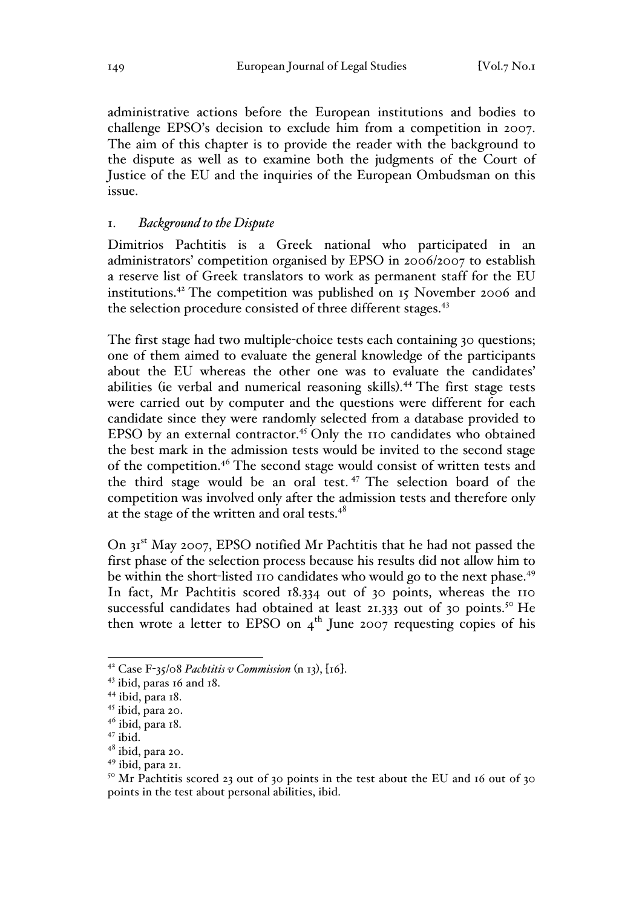administrative actions before the European institutions and bodies to challenge EPSO's decision to exclude him from a competition in 2007. The aim of this chapter is to provide the reader with the background to the dispute as well as to examine both the judgments of the Court of Justice of the EU and the inquiries of the European Ombudsman on this issue.

# 1. *Background to the Dispute*

Dimitrios Pachtitis is a Greek national who participated in an administrators' competition organised by EPSO in 2006/2007 to establish a reserve list of Greek translators to work as permanent staff for the EU institutions.42 The competition was published on 15 November 2006 and the selection procedure consisted of three different stages.<sup>43</sup>

The first stage had two multiple-choice tests each containing 30 questions; one of them aimed to evaluate the general knowledge of the participants about the EU whereas the other one was to evaluate the candidates' abilities (ie verbal and numerical reasoning skills). <sup>44</sup> The first stage tests were carried out by computer and the questions were different for each candidate since they were randomly selected from a database provided to EPSO by an external contractor.<sup>45</sup> Only the 110 candidates who obtained the best mark in the admission tests would be invited to the second stage of the competition.<sup>46</sup> The second stage would consist of written tests and the third stage would be an oral test. <sup>47</sup> The selection board of the competition was involved only after the admission tests and therefore only at the stage of the written and oral tests. $48$ 

On 31<sup>st</sup> May 2007, EPSO notified Mr Pachtitis that he had not passed the first phase of the selection process because his results did not allow him to be within the short-listed 110 candidates who would go to the next phase.<sup>49</sup> In fact, Mr Pachtitis scored 18.334 out of 30 points, whereas the 110 successful candidates had obtained at least 21.333 out of 30 points.<sup>50</sup> He then wrote a letter to EPSO on  $4<sup>th</sup>$  June 2007 requesting copies of his

<sup>&</sup>lt;sup>42</sup> Case F-35/08 *Pachtitis v Commission* (n 13), [16].<br><sup>43</sup> ibid, paras 16 and 18.

<sup>44</sup> ibid, para 18.

<sup>&</sup>lt;sup>45</sup> ibid, para 20.

 $46$  ibid, para 18.<br> $47$  ibid.

<sup>&</sup>lt;sup>48</sup> ibid, para 20.

<sup>49</sup> ibid, para 21.

 $50$  Mr Pachtitis scored 23 out of 30 points in the test about the EU and 16 out of 30 points in the test about personal abilities, ibid.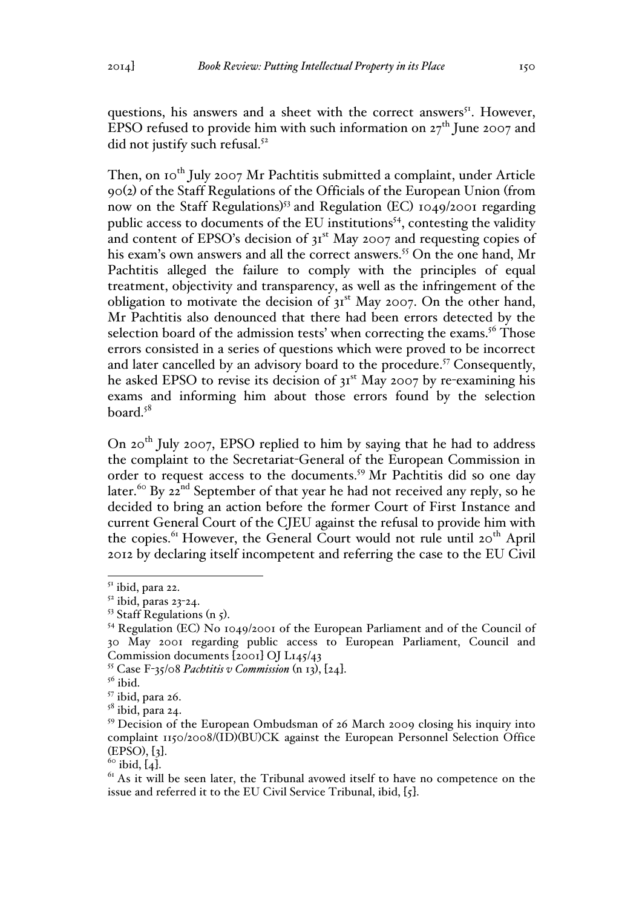questions, his answers and a sheet with the correct answers<sup>51</sup>. However, EPSO refused to provide him with such information on  $27<sup>th</sup>$  June 2007 and did not justify such refusal.<sup>52</sup>

Then, on 10<sup>th</sup> July 2007 Mr Pachtitis submitted a complaint, under Article 90(2) of the Staff Regulations of the Officials of the European Union (from now on the Staff Regulations) <sup>53</sup> and Regulation (EC) 1049/2001 regarding public access to documents of the EU institutions<sup> $54$ </sup>, contesting the validity and content of EPSO's decision of  $3I<sup>st</sup>$  May 2007 and requesting copies of his exam's own answers and all the correct answers.<sup>55</sup> On the one hand, Mr Pachtitis alleged the failure to comply with the principles of equal treatment, objectivity and transparency, as well as the infringement of the obligation to motivate the decision of  $3I<sup>st</sup>$  May 2007. On the other hand, Mr Pachtitis also denounced that there had been errors detected by the selection board of the admission tests' when correcting the exams.<sup>56</sup> Those errors consisted in a series of questions which were proved to be incorrect and later cancelled by an advisory board to the procedure.<sup>57</sup> Consequently, he asked EPSO to revise its decision of 31<sup>st</sup> May 2007 by re-examining his exams and informing him about those errors found by the selection board. $5^8$ 

On 20th July 2007, EPSO replied to him by saying that he had to address the complaint to the Secretariat-General of the European Commission in order to request access to the documents.<sup>59</sup> Mr Pachtitis did so one day later.<sup>60</sup> By 22<sup>nd</sup> September of that year he had not received any reply, so he decided to bring an action before the former Court of First Instance and current General Court of the CJEU against the refusal to provide him with the copies.<sup>61</sup> However, the General Court would not rule until 20<sup>th</sup> April 2012 by declaring itself incompetent and referring the case to the EU Civil

 $51$  ibid, para 22.

 $52$  ibid, paras 23-24.

<sup>&</sup>lt;sup>53</sup> Staff Regulations (n 5).<br><sup>54</sup> Regulation (EC) No 1049/2001 of the European Parliament and of the Council of 30 May 2001 regarding public access to European Parliament, Council and Commission documents [2001] OJ L145/43

<sup>&</sup>lt;sup>55</sup> Case F-35/08 *Pachtitis v Commission* (n 13),  $[24]$ .<br><sup>56</sup> ibid.

 $57$  ibid, para 26.<br> $58$  ibid, para 24.

<sup>59</sup> Decision of the European Ombudsman of 26 March 2009 closing his inquiry into complaint 1150/2008/(ID)(BU)CK against the European Personnel Selection Office (EPSO), [3].<br><sup>60</sup> ibid, [4].<br><sup>61</sup> As it will be seen later, the Tribunal avowed itself to have no competence on the

issue and referred it to the EU Civil Service Tribunal, ibid, [5].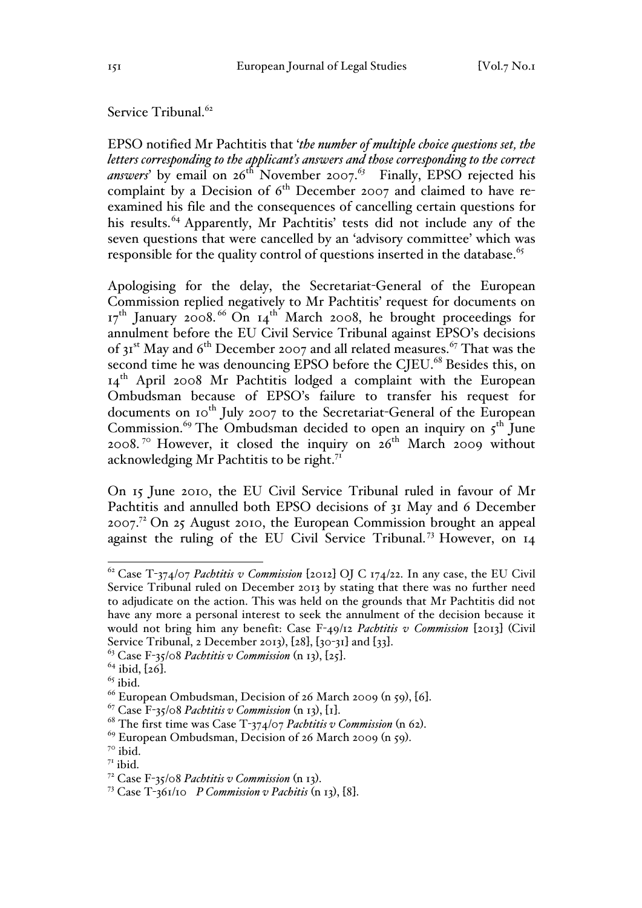Service Tribunal.<sup>62</sup>

EPSO notified Mr Pachtitis that '*the number of multiple choice questions set, the letters corresponding to the applicant's answers and those corresponding to the correct answers*' by email on 26th November 2007.*<sup>63</sup>* Finally, EPSO rejected his complaint by a Decision of  $6<sup>th</sup>$  December 2007 and claimed to have reexamined his file and the consequences of cancelling certain questions for his results.<sup>64</sup> Apparently, Mr Pachtitis' tests did not include any of the seven questions that were cancelled by an 'advisory committee' which was responsible for the quality control of questions inserted in the database.<sup>65</sup>

Apologising for the delay, the Secretariat-General of the European Commission replied negatively to Mr Pachtitis' request for documents on  $17<sup>th</sup>$  January 2008.<sup>66</sup> On  $14<sup>th</sup>$  March 2008, he brought proceedings for annulment before the EU Civil Service Tribunal against EPSO's decisions of  $3I<sup>st</sup>$  May and 6<sup>th</sup> December 2007 and all related measures.<sup>67</sup> That was the second time he was denouncing EPSO before the CJEU.<sup>68</sup> Besides this, on 14th April 2008 Mr Pachtitis lodged a complaint with the European Ombudsman because of EPSO's failure to transfer his request for documents on 10<sup>th</sup> July 2007 to the Secretariat-General of the European Commission.<sup>69</sup> The Ombudsman decided to open an inquiry on  $5^{th}$  June 2008.<sup>70</sup> However, it closed the inquiry on  $26<sup>th</sup>$  March 2009 without acknowledging Mr Pachtitis to be right.<sup>71</sup>

On 15 June 2010, the EU Civil Service Tribunal ruled in favour of Mr Pachtitis and annulled both EPSO decisions of 31 May and 6 December  $2007<sup>72</sup>$  On 25 August 2010, the European Commission brought an appeal against the ruling of the EU Civil Service Tribunal.<sup>73</sup> However, on 14

 <sup>62</sup> Case T-374/07 *Pachtitis v Commission* [2012] OJ C 174/22. In any case, the EU Civil Service Tribunal ruled on December 2013 by stating that there was no further need to adjudicate on the action. This was held on the grounds that Mr Pachtitis did not have any more a personal interest to seek the annulment of the decision because it would not bring him any benefit: Case F-49/12 *Pachtitis v Commission* [2013] (Civil Service Tribunal, 2 December 2013), [28], [30-31] and [33].<br><sup>63</sup> Case F-35/08 *Pachtitis v Commission* (n 13), [25].<br><sup>64</sup> ibid, [26].<br><sup>65</sup> ibid. 66 European Ombudsman, Decision of 26 March 2009 (n 59), [6].

<sup>&</sup>lt;sup>67</sup> Case F-35/08 *Pachtitis v Commission* (n 13), [1].<br><sup>68</sup> The first time was Case T-374/07 *Pachtitis v Commission* (n 62).<br><sup>69</sup> European Ombudsman, Decision of 26 March 2009 (n 59).<br><sup>70</sup> ibid.

<sup>&</sup>lt;sup>71</sup> ibid.<br><sup>72</sup> Case F-35/08 *Pachtitis* v Commission (n 13).

<sup>&</sup>lt;sup>73</sup> Case T-361/10 *P Commission*  $v$  *Pachitis* (n 13), [8].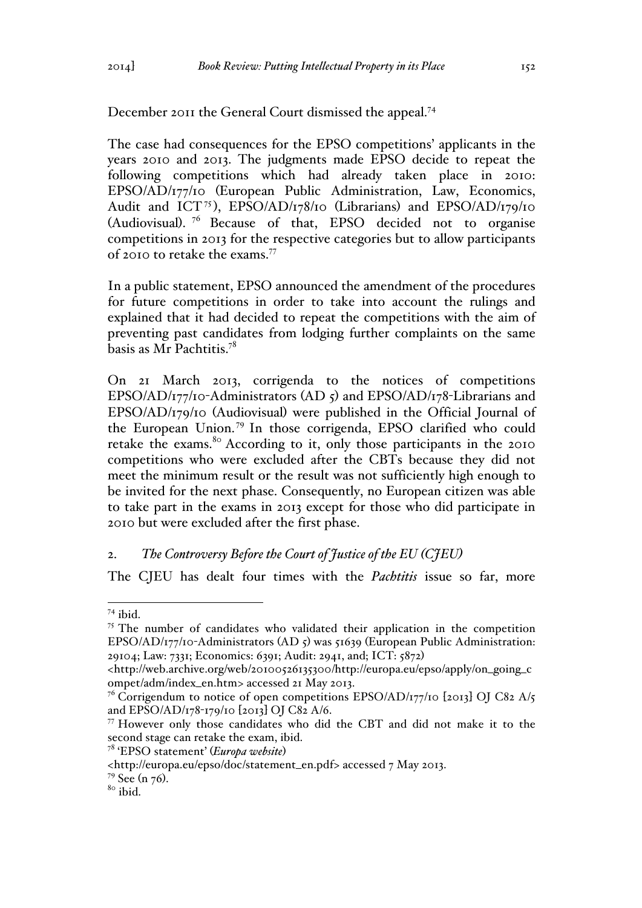December 2011 the General Court dismissed the appeal.<sup>74</sup>

The case had consequences for the EPSO competitions' applicants in the years 2010 and 2013. The judgments made EPSO decide to repeat the following competitions which had already taken place in 2010: EPSO/AD/177/10 (European Public Administration, Law, Economics, Audit and ICT<sup>75</sup>), EPSO/AD/178/10 (Librarians) and EPSO/AD/179/10 (Audiovisual). <sup>76</sup> Because of that, EPSO decided not to organise competitions in 2013 for the respective categories but to allow participants of 2010 to retake the exams.<sup>77</sup>

In a public statement, EPSO announced the amendment of the procedures for future competitions in order to take into account the rulings and explained that it had decided to repeat the competitions with the aim of preventing past candidates from lodging further complaints on the same basis as Mr Pachtitis.78

On 21 March 2013, corrigenda to the notices of competitions EPSO/AD/177/10-Administrators (AD 5) and EPSO/AD/178-Librarians and EPSO/AD/179/10 (Audiovisual) were published in the Official Journal of the European Union.<sup>79</sup> In those corrigenda, EPSO clarified who could retake the exams.<sup>80</sup> According to it, only those participants in the 2010 competitions who were excluded after the CBTs because they did not meet the minimum result or the result was not sufficiently high enough to be invited for the next phase. Consequently, no European citizen was able to take part in the exams in 2013 except for those who did participate in 2010 but were excluded after the first phase.

### 2. *The Controversy Before the Court of Justice of the EU (CJEU)*

The CJEU has dealt four times with the *Pachtitis* issue so far, more

 $74$  ibid.

<sup>&</sup>lt;sup>75</sup> The number of candidates who validated their application in the competition EPSO/AD/177/10-Administrators (AD 5) was 51639 (European Public Administration: 29104; Law: 7331; Economics: 6391; Audit: 2941, and; ICT: 5872)

<sup>&</sup>lt;http://web.archive.org/web/20100526135300/http://europa.eu/epso/apply/on\_going\_c ompet/adm/index\_en.htm> accessed 21 May 2013.

<sup>&</sup>lt;sup>76</sup> Corrigendum to notice of open competitions EPSO/AD/177/10 [2013] OJ C82 A/5 and EPSO/AD/178-179/10 [2013] OJ C82 A/6.

<sup>77</sup> However only those candidates who did the CBT and did not make it to the second stage can retake the exam, ibid.

<sup>78</sup> 'EPSO statement' (*Europa website*)

<sup>&</sup>lt;http://europa.eu/epso/doc/statement\_en.pdf> accessed 7 May 2013.

 $\frac{79}{80}$  See (n 76).<br><sup>80</sup> ibid.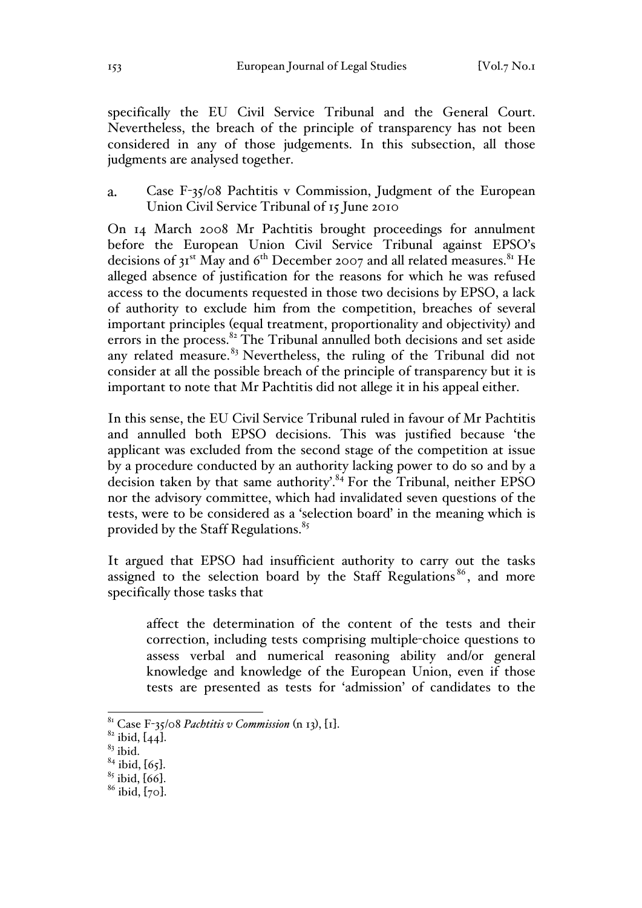specifically the EU Civil Service Tribunal and the General Court. Nevertheless, the breach of the principle of transparency has not been considered in any of those judgements. In this subsection, all those judgments are analysed together.

Case F-35/08 Pachtitis v Commission, Judgment of the European  $\overline{a}$ . Union Civil Service Tribunal of 15 June 2010

On 14 March 2008 Mr Pachtitis brought proceedings for annulment before the European Union Civil Service Tribunal against EPSO's decisions of  $3I<sup>st</sup>$  May and 6<sup>th</sup> December 2007 and all related measures.<sup>81</sup> He alleged absence of justification for the reasons for which he was refused access to the documents requested in those two decisions by EPSO, a lack of authority to exclude him from the competition, breaches of several important principles (equal treatment, proportionality and objectivity) and errors in the process. $82$  The Tribunal annulled both decisions and set aside any related measure. $83$  Nevertheless, the ruling of the Tribunal did not consider at all the possible breach of the principle of transparency but it is important to note that Mr Pachtitis did not allege it in his appeal either.

In this sense, the EU Civil Service Tribunal ruled in favour of Mr Pachtitis and annulled both EPSO decisions. This was justified because 'the applicant was excluded from the second stage of the competition at issue by a procedure conducted by an authority lacking power to do so and by a decision taken by that same authority'.<sup>84</sup> For the Tribunal, neither EPSO nor the advisory committee, which had invalidated seven questions of the tests, were to be considered as a 'selection board' in the meaning which is provided by the Staff Regulations.<sup>85</sup>

It argued that EPSO had insufficient authority to carry out the tasks assigned to the selection board by the Staff Regulations<sup>86</sup>, and more specifically those tasks that

affect the determination of the content of the tests and their correction, including tests comprising multiple-choice questions to assess verbal and numerical reasoning ability and/or general knowledge and knowledge of the European Union, even if those tests are presented as tests for 'admission' of candidates to the

<sup>&</sup>lt;sup>81</sup> Case F-35/08 *Pachtitis v Commission* (n 13), [1].<br><sup>82</sup> ibid, [44].<br><sup>83</sup> ibid.<br><sup>84</sup> ibid, [65].

 $\frac{85}{6}$  ibid, [66].<br> $\frac{86}{6}$  ibid, [70].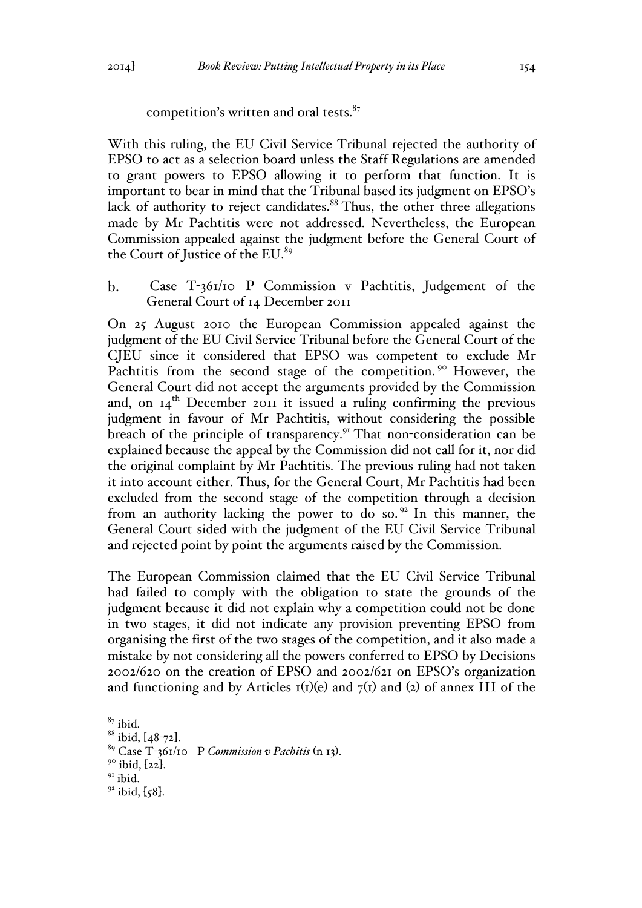competition's written and oral tests. $87$ 

With this ruling, the EU Civil Service Tribunal rejected the authority of EPSO to act as a selection board unless the Staff Regulations are amended to grant powers to EPSO allowing it to perform that function. It is important to bear in mind that the Tribunal based its judgment on EPSO's lack of authority to reject candidates.<sup>88</sup> Thus, the other three allegations made by Mr Pachtitis were not addressed. Nevertheless, the European Commission appealed against the judgment before the General Court of the Court of Justice of the EU.<sup>89</sup>

 $\mathbf{b}$ . Case T-361/10 P Commission v Pachtitis, Judgement of the General Court of 14 December 2011

On 25 August 2010 the European Commission appealed against the judgment of the EU Civil Service Tribunal before the General Court of the CJEU since it considered that EPSO was competent to exclude Mr Pachtitis from the second stage of the competition.<sup>90</sup> However, the General Court did not accept the arguments provided by the Commission and, on  $I_4$ <sup>th</sup> December 2011 it issued a ruling confirming the previous judgment in favour of Mr Pachtitis, without considering the possible breach of the principle of transparency.<sup>91</sup> That non-consideration can be explained because the appeal by the Commission did not call for it, nor did the original complaint by Mr Pachtitis. The previous ruling had not taken it into account either. Thus, for the General Court, Mr Pachtitis had been excluded from the second stage of the competition through a decision from an authority lacking the power to do so.<sup>92</sup> In this manner, the General Court sided with the judgment of the EU Civil Service Tribunal and rejected point by point the arguments raised by the Commission.

The European Commission claimed that the EU Civil Service Tribunal had failed to comply with the obligation to state the grounds of the judgment because it did not explain why a competition could not be done in two stages, it did not indicate any provision preventing EPSO from organising the first of the two stages of the competition, and it also made a mistake by not considering all the powers conferred to EPSO by Decisions 2002/620 on the creation of EPSO and 2002/621 on EPSO's organization and functioning and by Articles  $I(I)(e)$  and  $I(I)$  and (2) of annex III of the

 $^{87}_{88}$  ibid. [48-72].

<sup>&</sup>lt;sup>89</sup> Case T-361/10 P *Commission v Pachitis* (n 13).<br><sup>90</sup> ibid, [22].<br><sup>91</sup> ibid.

 $92$  ibid, [58].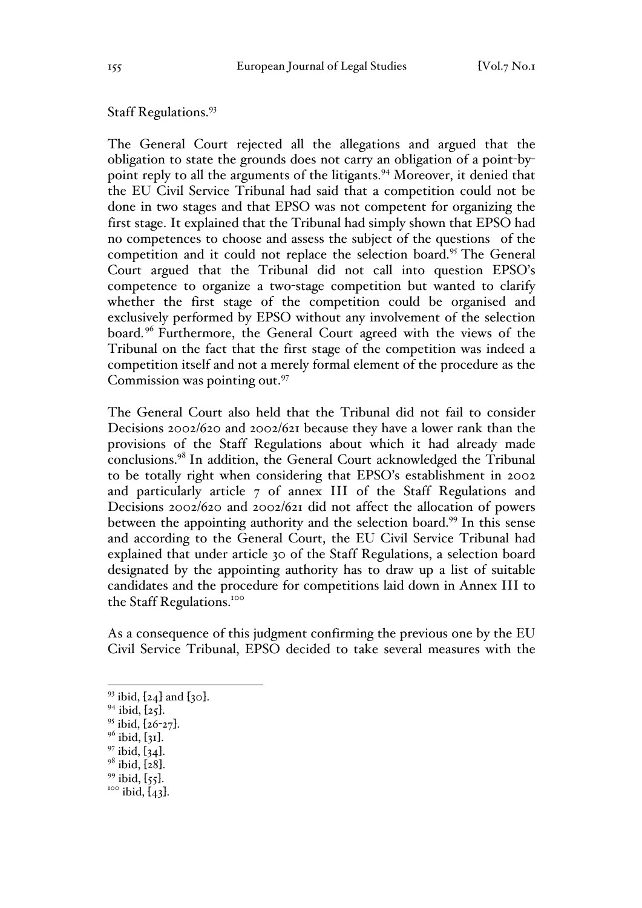### Staff Regulations.<sup>93</sup>

The General Court rejected all the allegations and argued that the obligation to state the grounds does not carry an obligation of a point-bypoint reply to all the arguments of the litigants.<sup>94</sup> Moreover, it denied that the EU Civil Service Tribunal had said that a competition could not be done in two stages and that EPSO was not competent for organizing the first stage. It explained that the Tribunal had simply shown that EPSO had no competences to choose and assess the subject of the questions of the competition and it could not replace the selection board.95 The General Court argued that the Tribunal did not call into question EPSO's competence to organize a two-stage competition but wanted to clarify whether the first stage of the competition could be organised and exclusively performed by EPSO without any involvement of the selection board.<sup>96</sup> Furthermore, the General Court agreed with the views of the Tribunal on the fact that the first stage of the competition was indeed a competition itself and not a merely formal element of the procedure as the Commission was pointing out.<sup>97</sup>

The General Court also held that the Tribunal did not fail to consider Decisions 2002/620 and 2002/621 because they have a lower rank than the provisions of the Staff Regulations about which it had already made conclusions.98 In addition, the General Court acknowledged the Tribunal to be totally right when considering that EPSO's establishment in 2002 and particularly article 7 of annex III of the Staff Regulations and Decisions 2002/620 and 2002/621 did not affect the allocation of powers between the appointing authority and the selection board.<sup>99</sup> In this sense and according to the General Court, the EU Civil Service Tribunal had explained that under article 30 of the Staff Regulations, a selection board designated by the appointing authority has to draw up a list of suitable candidates and the procedure for competitions laid down in Annex III to the Staff Regulations.<sup>100</sup>

As a consequence of this judgment confirming the previous one by the EU Civil Service Tribunal, EPSO decided to take several measures with the

- 
- 
- 
- 
- 

<sup>&</sup>lt;sup>93</sup> ibid, [24] and [30].<br><sup>94</sup> ibid, [25].<br><sup>95</sup> ibid, [26-27].<br><sup>96</sup> ibid, [31].<br><sup>97</sup> ibid, [34].<br><sup>98</sup> ibid, [28].<br><sup>99</sup> ibid, [55].<br><sup>100</sup> ibid, [43].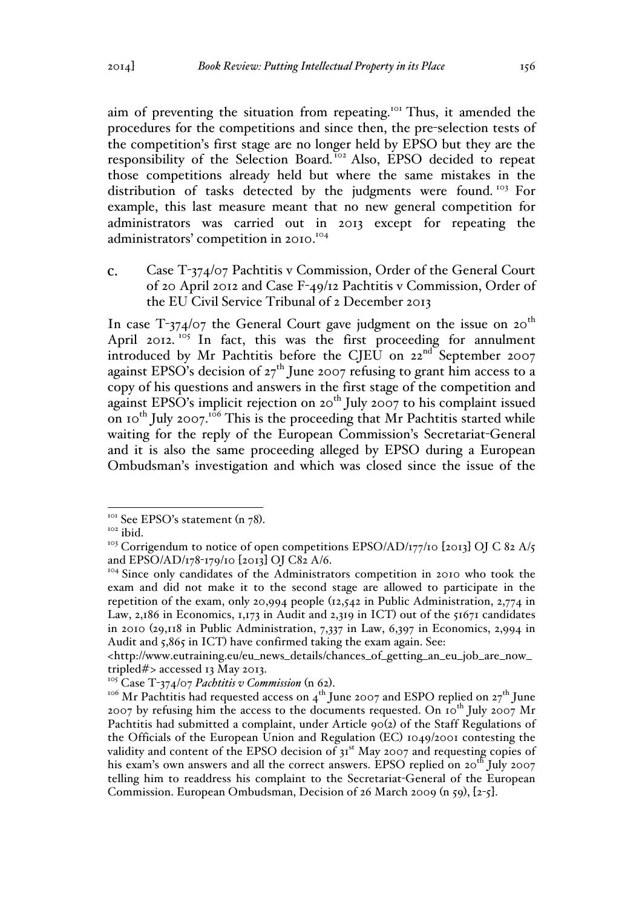aim of preventing the situation from repeating.<sup>101</sup> Thus, it amended the procedures for the competitions and since then, the pre-selection tests of the competition's first stage are no longer held by EPSO but they are the responsibility of the Selection Board.<sup>102</sup> Also, EPSO decided to repeat those competitions already held but where the same mistakes in the distribution of tasks detected by the judgments were found. <sup>103</sup> For example, this last measure meant that no new general competition for administrators was carried out in 2013 except for repeating the administrators' competition in 2010.<sup>104</sup>

 $\mathbf{c}$ . Case T-374/07 Pachtitis v Commission, Order of the General Court of 20 April 2012 and Case F-49/12 Pachtitis v Commission, Order of the EU Civil Service Tribunal of 2 December 2013

In case T-374/07 the General Court gave judgment on the issue on  $20^{th}$ April 2012.  $105 \text{ In fact, this was the first proceeding for an number.}$ introduced by Mr Pachtitis before the CJEU on 22<sup>nd</sup> September 2007 against EPSO's decision of  $27<sup>th</sup>$  June 2007 refusing to grant him access to a copy of his questions and answers in the first stage of the competition and against EPSO's implicit rejection on 20<sup>th</sup> July 2007 to his complaint issued on 10<sup>th</sup> July 2007.<sup>106</sup> This is the proceeding that Mr Pachtitis started while waiting for the reply of the European Commission's Secretariat-General and it is also the same proceeding alleged by EPSO during a European Ombudsman's investigation and which was closed since the issue of the

<sup>&</sup>lt;sup>101</sup> See EPSO's statement (n 78).<br><sup>102</sup> ibid.

<sup>&</sup>lt;sup>103</sup> Corrigendum to notice of open competitions EPSO/AD/177/10 [2013] OJ C 82 A/5 and EPSO/AD/178-179/10 [2013] OJ C82 A/6.

<sup>&</sup>lt;sup>104</sup> Since only candidates of the Administrators competition in 2010 who took the exam and did not make it to the second stage are allowed to participate in the repetition of the exam, only 20,994 people (12,542 in Public Administration, 2,774 in Law, 2,186 in Economics, 1,173 in Audit and 2,319 in ICT) out of the 51671 candidates in 2010 (29,118 in Public Administration, 7,337 in Law, 6,397 in Economics, 2,994 in Audit and 5,865 in ICT) have confirmed taking the exam again. See:

<sup>&</sup>lt;http://www.eutraining.eu/eu\_news\_details/chances\_of\_getting\_an\_eu\_job\_are\_now\_ tripled#> accessed 13 May 2013.<br><sup>105</sup> Case T-374/07 *Pachtitis v Commission* (n 62).

<sup>&</sup>lt;sup>106</sup> Mr Pachtitis had requested access on 4<sup>th</sup> June 2007 and ESPO replied on 27<sup>th</sup> June 2007 by refusing him the access to the documents requested. On  $10^{th}$  July 2007 Mr Pachtitis had submitted a complaint, under Article 90(2) of the Staff Regulations of the Officials of the European Union and Regulation (EC) 1049/2001 contesting the validity and content of the EPSO decision of 31<sup>st</sup> May 2007 and requesting copies of his exam's own answers and all the correct answers. EPSO replied on  $20^{th}$  July 2007 telling him to readdress his complaint to the Secretariat-General of the European Commission. European Ombudsman, Decision of 26 March 2009 (n 59), [2-5].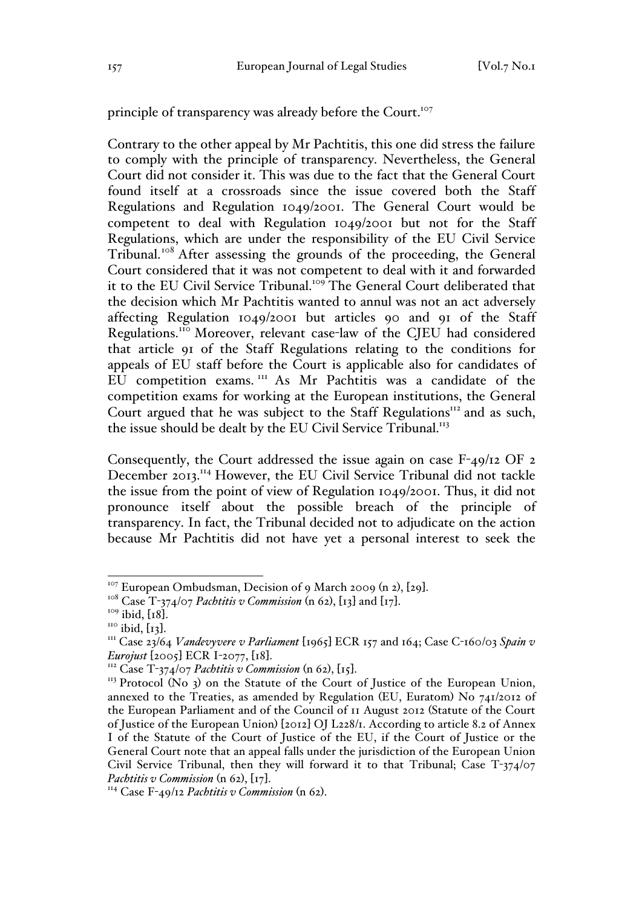principle of transparency was already before the Court.<sup>107</sup>

Contrary to the other appeal by Mr Pachtitis, this one did stress the failure to comply with the principle of transparency. Nevertheless, the General Court did not consider it. This was due to the fact that the General Court found itself at a crossroads since the issue covered both the Staff Regulations and Regulation 1049/2001. The General Court would be competent to deal with Regulation 1049/2001 but not for the Staff Regulations, which are under the responsibility of the EU Civil Service Tribunal.<sup>108</sup> After assessing the grounds of the proceeding, the General Court considered that it was not competent to deal with it and forwarded it to the EU Civil Service Tribunal.<sup>109</sup> The General Court deliberated that the decision which Mr Pachtitis wanted to annul was not an act adversely affecting Regulation 1049/2001 but articles 90 and 91 of the Staff Regulations.<sup>110</sup> Moreover, relevant case-law of the CJEU had considered that article 91 of the Staff Regulations relating to the conditions for appeals of EU staff before the Court is applicable also for candidates of EU competition exams. <sup>111</sup> As Mr Pachtitis was a candidate of the competition exams for working at the European institutions, the General Court argued that he was subject to the Staff Regulations $^{112}$  and as such, the issue should be dealt by the EU Civil Service Tribunal.<sup>113</sup>

Consequently, the Court addressed the issue again on case F-49/12 OF 2 December 2013.114 However, the EU Civil Service Tribunal did not tackle the issue from the point of view of Regulation 1049/2001. Thus, it did not pronounce itself about the possible breach of the principle of transparency. In fact, the Tribunal decided not to adjudicate on the action because Mr Pachtitis did not have yet a personal interest to seek the

<sup>&</sup>lt;sup>107</sup> European Ombudsman, Decision of 9 March 2009 (n 2), [29].<br><sup>108</sup> Case T-374/07 *Pachtitis v Commission* (n 62), [13] and [17].<br><sup>109</sup> ibid, [18].<br><sup>110</sup> ibid, [13].<br><sup>111</sup> Case 23/64 *Vandevyvere v Parliament* [1965] EC *Eurojust* [2005] ECR I-2077, [18].<br><sup>112</sup> Case T-374/07 *Pachtitis v Commission* (n 62), [15].<br><sup>113</sup> Protocol (No 3) on the Statute of the Court of Justice of the European Union,

annexed to the Treaties, as amended by Regulation (EU, Euratom) No 741/2012 of the European Parliament and of the Council of 11 August 2012 (Statute of the Court of Justice of the European Union) [2012] OJ L228/1. According to article 8.2 of Annex I of the Statute of the Court of Justice of the EU, if the Court of Justice or the General Court note that an appeal falls under the jurisdiction of the European Union Civil Service Tribunal, then they will forward it to that Tribunal; Case T-374/07 *Pachtitis v Commission* (n 62), [17].<br><sup>114</sup> Case F-49/12 *Pachtitis v Commission* (n 62).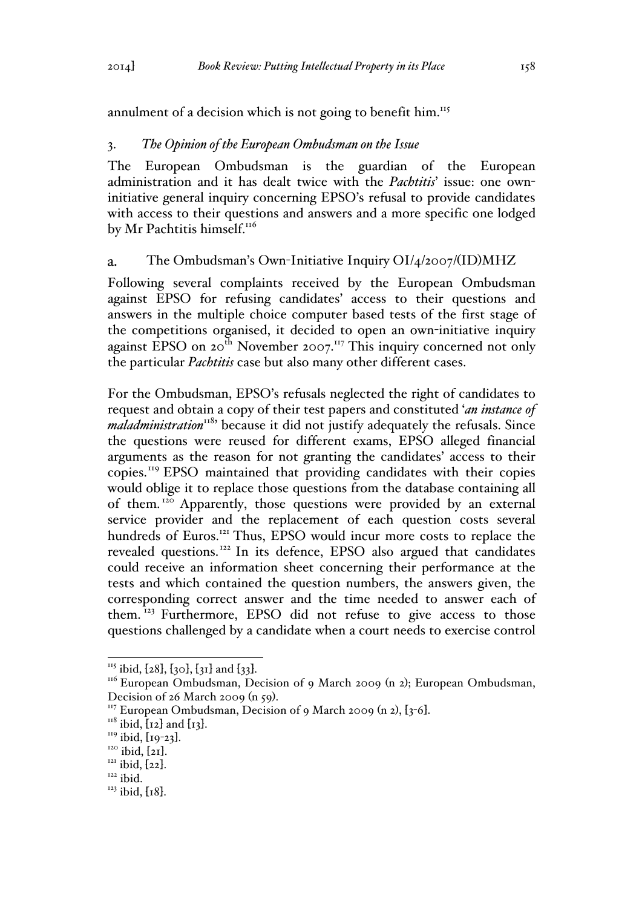annulment of a decision which is not going to benefit him.<sup>115</sup>

# 3. *The Opinion of the European Ombudsman on the Issue*

The European Ombudsman is the guardian of the European administration and it has dealt twice with the *Pachtitis*' issue: one owninitiative general inquiry concerning EPSO's refusal to provide candidates with access to their questions and answers and a more specific one lodged by Mr Pachtitis himself.<sup>116</sup>

#### The Ombudsman's Own-Initiative Inquiry OI/4/2007/(ID)MHZ  $\mathbf{a}$ .

Following several complaints received by the European Ombudsman against EPSO for refusing candidates' access to their questions and answers in the multiple choice computer based tests of the first stage of the competitions organised, it decided to open an own-initiative inquiry against EPSO on  $20<sup>th</sup>$  November  $2007<sup>117</sup>$  This inquiry concerned not only the particular *Pachtitis* case but also many other different cases.

For the Ombudsman, EPSO's refusals neglected the right of candidates to request and obtain a copy of their test papers and constituted '*an instance of maladministration*<sup>118</sup> because it did not justify adequately the refusals. Since the questions were reused for different exams, EPSO alleged financial arguments as the reason for not granting the candidates' access to their copies.<sup>119</sup> EPSO maintained that providing candidates with their copies would oblige it to replace those questions from the database containing all of them.<sup>120</sup> Apparently, those questions were provided by an external service provider and the replacement of each question costs several hundreds of Euros.<sup>121</sup> Thus, EPSO would incur more costs to replace the revealed questions.<sup>122</sup> In its defence, EPSO also argued that candidates could receive an information sheet concerning their performance at the tests and which contained the question numbers, the answers given, the corresponding correct answer and the time needed to answer each of them. <sup>123</sup> Furthermore, EPSO did not refuse to give access to those questions challenged by a candidate when a court needs to exercise control

<sup>&</sup>lt;sup>115</sup> ibid, [28], [30], [31] and [33].<br><sup>116</sup> European Ombudsman, Decision of 9 March 2009 (n 2); European Ombudsman,

Decision of 26 March 2009 (n 59).<br>
<sup>117</sup> European Ombudsman, Decision of 9 March 2009 (n 2), [3-6].<br>
<sup>118</sup> ibid, [12] and [13].<br>
<sup>119</sup> ibid, [21].<br>
<sup>120</sup> ibid, [21].<br>
<sup>121</sup> ibid, [22].<br>
<sup>122</sup> ibid.

 $123$  ibid, [18].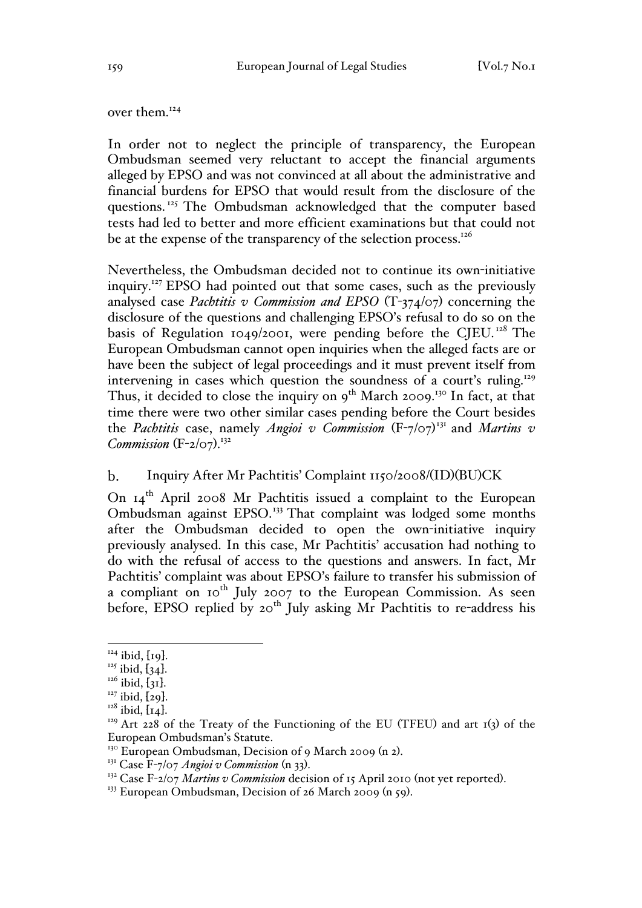over them.<sup>124</sup>

In order not to neglect the principle of transparency, the European Ombudsman seemed very reluctant to accept the financial arguments alleged by EPSO and was not convinced at all about the administrative and financial burdens for EPSO that would result from the disclosure of the questions.<sup>125</sup> The Ombudsman acknowledged that the computer based tests had led to better and more efficient examinations but that could not be at the expense of the transparency of the selection process.<sup>126</sup>

Nevertheless, the Ombudsman decided not to continue its own-initiative inquiry.<sup>127</sup> EPSO had pointed out that some cases, such as the previously analysed case *Pachtitis v Commission and EPSO* (T-374/07) concerning the disclosure of the questions and challenging EPSO's refusal to do so on the basis of Regulation 1049/2001, were pending before the CJEU.<sup>128</sup> The European Ombudsman cannot open inquiries when the alleged facts are or have been the subject of legal proceedings and it must prevent itself from intervening in cases which question the soundness of a court's ruling.<sup>129</sup> Thus, it decided to close the inquiry on  $9^{th}$  March 2009.<sup>130</sup> In fact, at that time there were two other similar cases pending before the Court besides the *Pachtitis* case, namely *Angioi v Commission* (F-7/07) <sup>131</sup> and *Martins v*  Commission (F-2/07).<sup>132</sup>

#### $\mathbf{b}$ . Inquiry After Mr Pachtitis' Complaint 1150/2008/(ID)(BU)CK

On 14<sup>th</sup> April 2008 Mr Pachtitis issued a complaint to the European Ombudsman against EPSO.<sup>133</sup> That complaint was lodged some months after the Ombudsman decided to open the own-initiative inquiry previously analysed. In this case, Mr Pachtitis' accusation had nothing to do with the refusal of access to the questions and answers. In fact, Mr Pachtitis' complaint was about EPSO's failure to transfer his submission of a compliant on 10<sup>th</sup> July 2007 to the European Commission. As seen before, EPSO replied by  $20^{th}$  July asking Mr Pachtitis to re-address his

<sup>&</sup>lt;sup>124</sup> ibid, [19].<br><sup>125</sup> ibid, [34].<br><sup>126</sup> ibid, [31].<br><sup>127</sup> ibid, [29].<br><sup>128</sup> ibid, [14].<br><sup>129</sup> Art 228 of the Treaty of the Functioning of the EU (TFEU) and art 1(3) of the European Ombudsman's Statute.

<sup>&</sup>lt;sup>130</sup> European Ombudsman, Decision of 9 March 2009 (n 2).<br><sup>131</sup> Case F-7/07 *Angioi v Commission* (n 33).<br><sup>132</sup> Case F-2/07 *Martins v Commission* decision of 15 April 2010 (not yet reported).<br><sup>132</sup> Case F-2/07 *Martins v*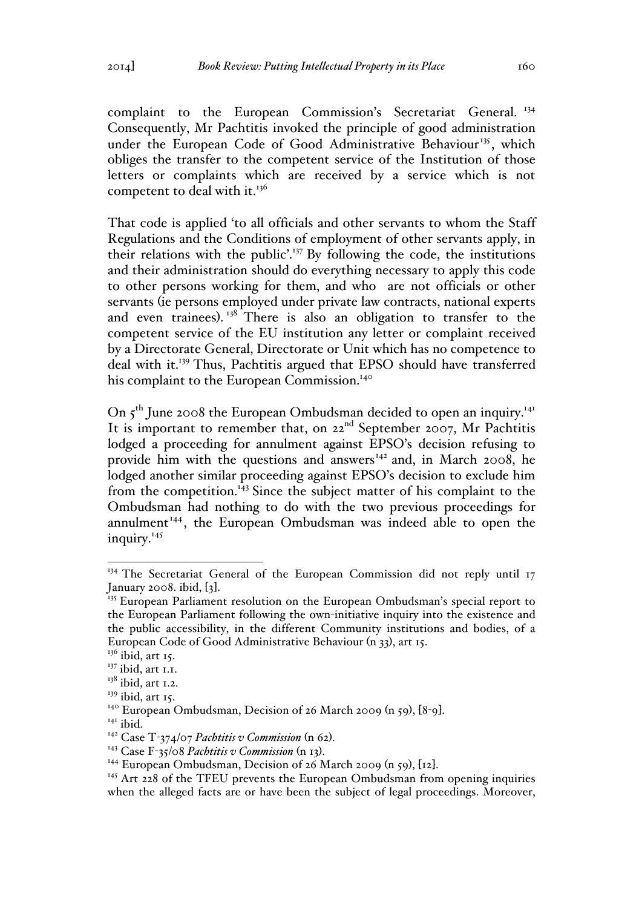complaint to the European Commission's Secretariat General.<sup>134</sup> Consequently, Mr Pachtitis invoked the principle of good administration under the European Code of Good Administrative Behaviour<sup>135</sup>, which obliges the transfer to the competent service of the Institution of those letters or complaints which are received by a service which is not competent to deal with it.<sup>136</sup>

That code is applied 'to all officials and other servants to whom the Staff Regulations and the Conditions of employment of other servants apply, in their relations with the public'.137 By following the code, the institutions and their administration should do everything necessary to apply this code to other persons working for them, and who are not officials or other servants (ie persons employed under private law contracts, national experts and even trainees).<sup>138</sup> There is also an obligation to transfer to the competent service of the EU institution any letter or complaint received by a Directorate General, Directorate or Unit which has no competence to deal with it.139 Thus, Pachtitis argued that EPSO should have transferred his complaint to the European Commission.<sup>140</sup>

On  $5<sup>th</sup>$  June 2008 the European Ombudsman decided to open an inquiry.<sup>141</sup> It is important to remember that, on 22<sup>nd</sup> September 2007, Mr Pachtitis lodged a proceeding for annulment against EPSO's decision refusing to provide him with the questions and answers $142$  and, in March 2008, he lodged another similar proceeding against EPSO's decision to exclude him from the competition.<sup>143</sup> Since the subject matter of his complaint to the Ombudsman had nothing to do with the two previous proceedings for annulment<sup>144</sup>, the European Ombudsman was indeed able to open the inquiry.<sup>145</sup>

<sup>&</sup>lt;sup>134</sup> The Secretariat General of the European Commission did not reply until 17 January 2008. ibid,  $\{3\}$ .

<sup>&</sup>lt;sup>135</sup> European Parliament resolution on the European Ombudsman's special report to the European Parliament following the own-initiative inquiry into the existence and the public accessibility, in the different Community institutions and bodies, of a European Code of Good Administrative Behaviour (n 33), art 15.

 $136$  ibid, art 15.

 $137$  ibid, art 1.1.

 $138$  ibid, art 1.2.

 $139$  ibid, art 15.

<sup>&</sup>lt;sup>140</sup> European Ombudsman, Decision of 26 March 2009 (n 59), [8-9].<br><sup>141</sup> ibid.<br><sup>142</sup> Case T-374/07 *Pachtitis v Commission* (n 62).

<sup>&</sup>lt;sup>143</sup> Case F-35/08 *Pachtitis v Commission* (n 13).<br><sup>144</sup> European Ombudsman, Decision of 26 March 2009 (n 59), [12].<br><sup>145</sup> Art 228 of the TFEU prevents the European Ombudsman from opening inquiries when the alleged facts are or have been the subject of legal proceedings. Moreover,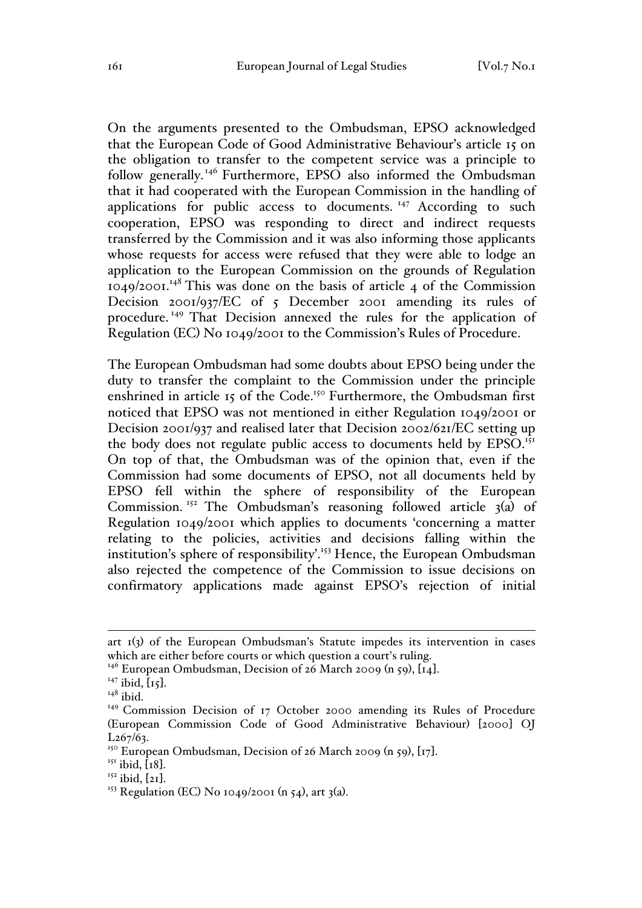On the arguments presented to the Ombudsman, EPSO acknowledged that the European Code of Good Administrative Behaviour's article 15 on the obligation to transfer to the competent service was a principle to follow generally.<sup>146</sup> Furthermore, EPSO also informed the Ombudsman that it had cooperated with the European Commission in the handling of applications for public access to documents.<sup>147</sup> According to such cooperation, EPSO was responding to direct and indirect requests transferred by the Commission and it was also informing those applicants whose requests for access were refused that they were able to lodge an application to the European Commission on the grounds of Regulation  $1049/2001$ .<sup>148</sup> This was done on the basis of article 4 of the Commission Decision 2001/937/EC of 5 December 2001 amending its rules of procedure.<sup>149</sup> That Decision annexed the rules for the application of Regulation (EC) No 1049/2001 to the Commission's Rules of Procedure.

The European Ombudsman had some doubts about EPSO being under the duty to transfer the complaint to the Commission under the principle enshrined in article 15 of the Code.<sup>150</sup> Furthermore, the Ombudsman first noticed that EPSO was not mentioned in either Regulation 1049/2001 or Decision 2001/937 and realised later that Decision 2002/621/EC setting up the body does not regulate public access to documents held by EPSO.<sup>151</sup> On top of that, the Ombudsman was of the opinion that, even if the Commission had some documents of EPSO, not all documents held by EPSO fell within the sphere of responsibility of the European Commission.<sup>152</sup> The Ombudsman's reasoning followed article  $3(a)$  of Regulation 1049/2001 which applies to documents 'concerning a matter relating to the policies, activities and decisions falling within the institution's sphere of responsibility'.<sup>153</sup> Hence, the European Ombudsman also rejected the competence of the Commission to issue decisions on confirmatory applications made against EPSO's rejection of initial

<sup>146</sup> European Ombudsman, Decision of 26 March 2009 (n 59), [14].<br><sup>147</sup> ibid, [15].<br><sup>148</sup> ibid.

art 1(3) of the European Ombudsman's Statute impedes its intervention in cases which are either before courts or which question a court's ruling.

<sup>149</sup> Commission Decision of 17 October 2000 amending its Rules of Procedure (European Commission Code of Good Administrative Behaviour) [2000] OJ  $L_{2}67/63$ .

<sup>&</sup>lt;sup>150</sup> European Ombudsman, Decision of 26 March 2009 (n 59), [17].<br><sup>151</sup> ibid, [18].<br><sup>152</sup> ibid, [21].<br><sup>153</sup> Regulation (EC) No 1049/2001 (n 54), art 3(a).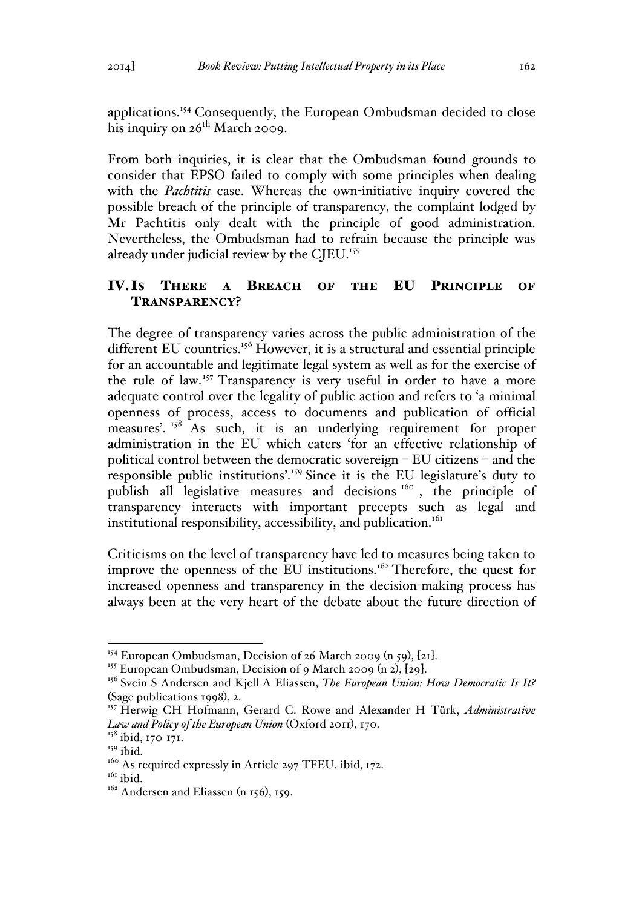applications.<sup>154</sup> Consequently, the European Ombudsman decided to close his inquiry on  $26^{th}$  March 2009.

From both inquiries, it is clear that the Ombudsman found grounds to consider that EPSO failed to comply with some principles when dealing with the *Pachtitis* case. Whereas the own-initiative inquiry covered the possible breach of the principle of transparency, the complaint lodged by Mr Pachtitis only dealt with the principle of good administration. Nevertheless, the Ombudsman had to refrain because the principle was already under judicial review by the CJEU.<sup>155</sup>

# IV.IS THERE A BREACH OF THE EU PRINCIPLE OF TRANSPARENCY?

The degree of transparency varies across the public administration of the different EU countries.<sup>156</sup> However, it is a structural and essential principle for an accountable and legitimate legal system as well as for the exercise of the rule of law.<sup>157</sup> Transparency is very useful in order to have a more adequate control over the legality of public action and refers to 'a minimal openness of process, access to documents and publication of official measures'.<sup>158</sup> As such, it is an underlying requirement for proper administration in the EU which caters 'for an effective relationship of political control between the democratic sovereign – EU citizens – and the responsible public institutions'.<sup>159</sup> Since it is the EU legislature's duty to publish all legislative measures and decisions <sup>160</sup> , the principle of transparency interacts with important precepts such as legal and institutional responsibility, accessibility, and publication.<sup>161</sup>

Criticisms on the level of transparency have led to measures being taken to improve the openness of the EU institutions.<sup>162</sup> Therefore, the quest for increased openness and transparency in the decision-making process has always been at the very heart of the debate about the future direction of

<sup>&</sup>lt;sup>154</sup> European Ombudsman, Decision of 26 March 2009 (n 59), [21].<br><sup>155</sup> European Ombudsman, Decision of 9 March 2009 (n 2), [29].<br><sup>156</sup> Svein S Andersen and Kjell A Eliassen, *The European Union: How Democratic Is It?* (Sage publications 1998), 2.

<sup>157</sup> Herwig CH Hofmann, Gerard C. Rowe and Alexander H Türk, *Administrative Law and Policy of the European Union* (Oxford 2011), 170.

<sup>&</sup>lt;sup>158</sup> ibid, 170-171.

<sup>&</sup>lt;sup>159</sup> ibid.

 $160$  As required expressly in Article 297 TFEU. ibid, 172.<br> $161$  ibid.

 $162$  Andersen and Eliassen (n 156), 159.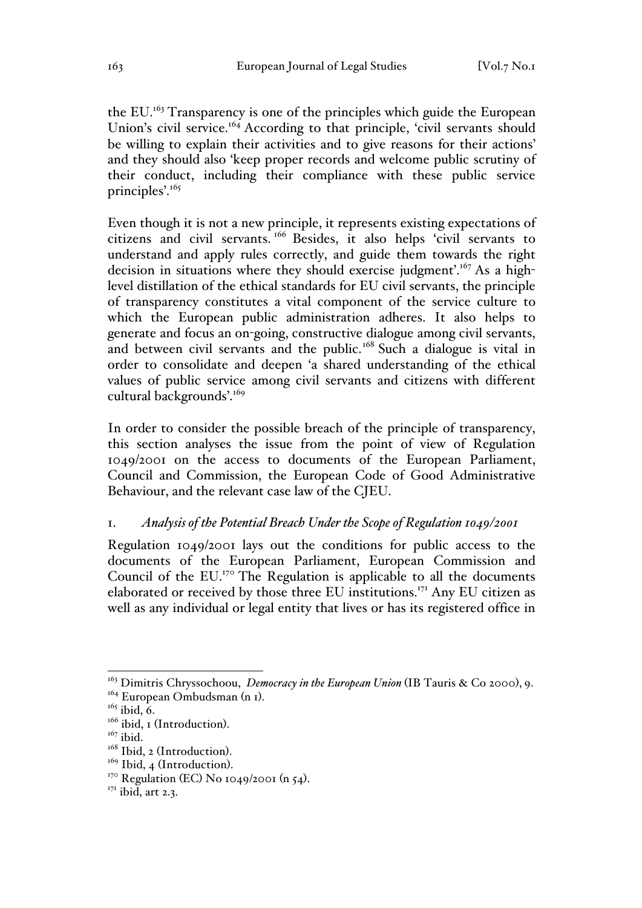the EU.<sup>163</sup> Transparency is one of the principles which guide the European Union's civil service.<sup>164</sup> According to that principle, 'civil servants should be willing to explain their activities and to give reasons for their actions' and they should also 'keep proper records and welcome public scrutiny of their conduct, including their compliance with these public service principles'.<sup>165</sup>

Even though it is not a new principle, it represents existing expectations of citizens and civil servants. <sup>166</sup> Besides, it also helps 'civil servants to understand and apply rules correctly, and guide them towards the right decision in situations where they should exercise judgment'.<sup>167</sup> As a highlevel distillation of the ethical standards for EU civil servants, the principle of transparency constitutes a vital component of the service culture to which the European public administration adheres. It also helps to generate and focus an on-going, constructive dialogue among civil servants, and between civil servants and the public.<sup>168</sup> Such a dialogue is vital in order to consolidate and deepen 'a shared understanding of the ethical values of public service among civil servants and citizens with different cultural backgrounds'.<sup>169</sup>

In order to consider the possible breach of the principle of transparency, this section analyses the issue from the point of view of Regulation 1049/2001 on the access to documents of the European Parliament, Council and Commission, the European Code of Good Administrative Behaviour, and the relevant case law of the CJEU.

### 1. *Analysis of the Potential Breach Under the Scope of Regulation 1049/2001*

Regulation 1049/2001 lays out the conditions for public access to the documents of the European Parliament, European Commission and Council of the  $EU^{170}$ . The Regulation is applicable to all the documents elaborated or received by those three EU institutions.<sup>171</sup> Any EU citizen as well as any individual or legal entity that lives or has its registered office in

<sup>&</sup>lt;sup>163</sup> Dimitris Chryssochoou, *Democracy in the European Union* (IB Tauris & Co 2000), 9.

 $164$  European Ombudsman (n 1).<br> $165$  ibid, 6.

<sup>&</sup>lt;sup>166</sup> ibid, 1 (Introduction).<br><sup>167</sup> ibid.<br><sup>168</sup> Ibid, 2 (Introduction).

<sup>&</sup>lt;sup>169</sup> Ibid, 4 (Introduction).<br><sup>170</sup> Regulation (EC) No 1049/2001 (n 54).<br><sup>171</sup> ibid, art 2.3.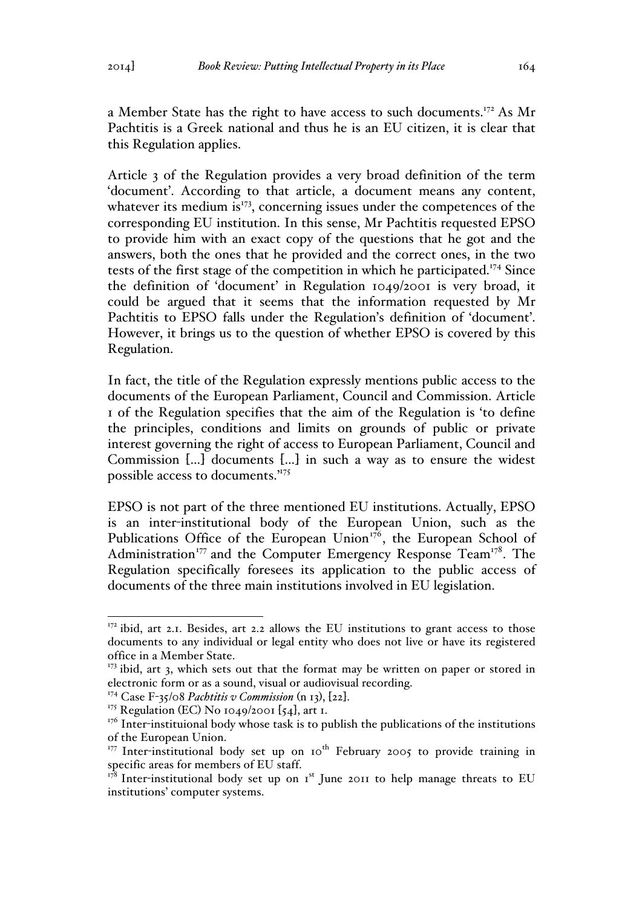a Member State has the right to have access to such documents.<sup>172</sup> As Mr Pachtitis is a Greek national and thus he is an EU citizen, it is clear that this Regulation applies.

Article 3 of the Regulation provides a very broad definition of the term 'document'. According to that article, a document means any content, whatever its medium is $173$ , concerning issues under the competences of the corresponding EU institution. In this sense, Mr Pachtitis requested EPSO to provide him with an exact copy of the questions that he got and the answers, both the ones that he provided and the correct ones, in the two tests of the first stage of the competition in which he participated.<sup>174</sup> Since the definition of 'document' in Regulation 1049/2001 is very broad, it could be argued that it seems that the information requested by Mr Pachtitis to EPSO falls under the Regulation's definition of 'document'. However, it brings us to the question of whether EPSO is covered by this Regulation.

In fact, the title of the Regulation expressly mentions public access to the documents of the European Parliament, Council and Commission. Article 1 of the Regulation specifies that the aim of the Regulation is 'to define the principles, conditions and limits on grounds of public or private interest governing the right of access to European Parliament, Council and Commission […] documents […] in such a way as to ensure the widest possible access to documents.'175

EPSO is not part of the three mentioned EU institutions. Actually, EPSO is an inter-institutional body of the European Union, such as the Publications Office of the European Union $176$ , the European School of Administration<sup>177</sup> and the Computer Emergency Response Team<sup>178</sup>. The Regulation specifically foresees its application to the public access of documents of the three main institutions involved in EU legislation.

<sup>&</sup>lt;sup>172</sup> ibid, art 2.1. Besides, art 2.2 allows the EU institutions to grant access to those documents to any individual or legal entity who does not live or have its registered office in a Member State.

 $173$  ibid, art 3, which sets out that the format may be written on paper or stored in electronic form or as a sound, visual or audiovisual recording.

<sup>&</sup>lt;sup>174</sup> Case F-35/08 *Pachtitis v Commission* (n 13), [22].<br><sup>175</sup> Regulation (EC) No 1049/2001 [54], art 1.

 $176$  Inter-instituional body whose task is to publish the publications of the institutions of the European Union.

 $177$  Inter-institutional body set up on 10<sup>th</sup> February 2005 to provide training in specific areas for members of EU staff.

 $178$  Inter-institutional body set up on  $1<sup>st</sup>$  June 2011 to help manage threats to EU institutions' computer systems.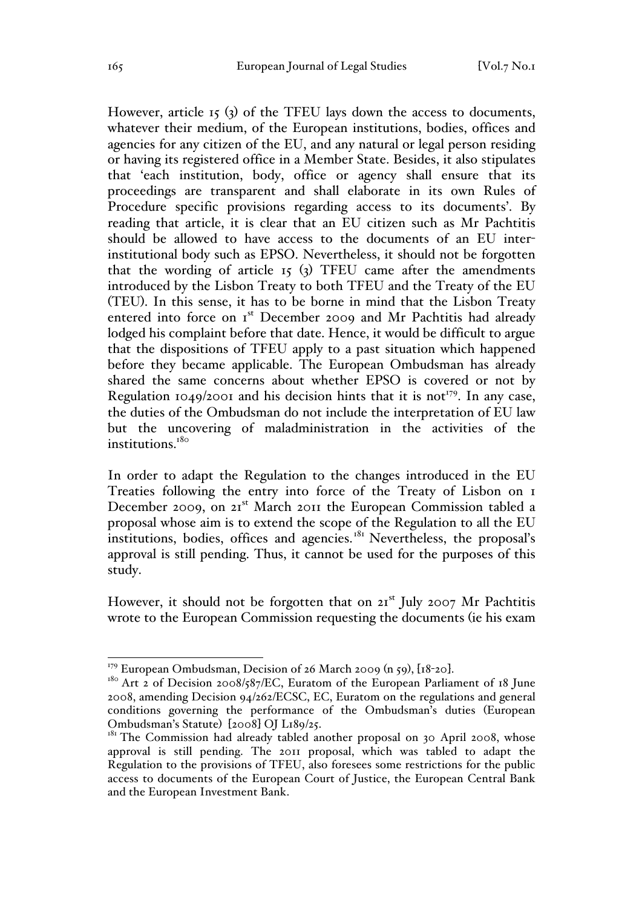However, article 15 (3) of the TFEU lays down the access to documents, whatever their medium, of the European institutions, bodies, offices and agencies for any citizen of the EU, and any natural or legal person residing or having its registered office in a Member State. Besides, it also stipulates that 'each institution, body, office or agency shall ensure that its proceedings are transparent and shall elaborate in its own Rules of Procedure specific provisions regarding access to its documents'. By reading that article, it is clear that an EU citizen such as Mr Pachtitis should be allowed to have access to the documents of an EU interinstitutional body such as EPSO. Nevertheless, it should not be forgotten that the wording of article 15 (3) TFEU came after the amendments introduced by the Lisbon Treaty to both TFEU and the Treaty of the EU (TEU). In this sense, it has to be borne in mind that the Lisbon Treaty entered into force on 1<sup>st</sup> December 2009 and Mr Pachtitis had already lodged his complaint before that date. Hence, it would be difficult to argue that the dispositions of TFEU apply to a past situation which happened before they became applicable. The European Ombudsman has already shared the same concerns about whether EPSO is covered or not by Regulation 1049/2001 and his decision hints that it is not<sup>179</sup>. In any case, the duties of the Ombudsman do not include the interpretation of EU law but the uncovering of maladministration in the activities of the institutions.<sup>180</sup>

In order to adapt the Regulation to the changes introduced in the EU Treaties following the entry into force of the Treaty of Lisbon on 1 December 2009, on 21<sup>st</sup> March 2011 the European Commission tabled a proposal whose aim is to extend the scope of the Regulation to all the EU institutions, bodies, offices and agencies.<sup>181</sup> Nevertheless, the proposal's approval is still pending. Thus, it cannot be used for the purposes of this study.

However, it should not be forgotten that on  $2I<sup>st</sup>$  July 2007 Mr Pachtitis wrote to the European Commission requesting the documents (ie his exam

<sup>&</sup>lt;sup>179</sup> European Ombudsman, Decision of 26 March 2009 (n 59),  $[18\text{-}20]$ .<br><sup>180</sup> Art 2 of Decision 2008/587/EC, Euratom of the European Parliament of 18 June 2008, amending Decision 94/262/ECSC, EC, Euratom on the regulations and general conditions governing the performance of the Ombudsman's duties (European Ombudsman's Statute) [2008] OJ L189/25.

 $181$  The Commission had already tabled another proposal on 30 April 2008, whose approval is still pending. The 2011 proposal, which was tabled to adapt the Regulation to the provisions of TFEU, also foresees some restrictions for the public access to documents of the European Court of Justice, the European Central Bank and the European Investment Bank.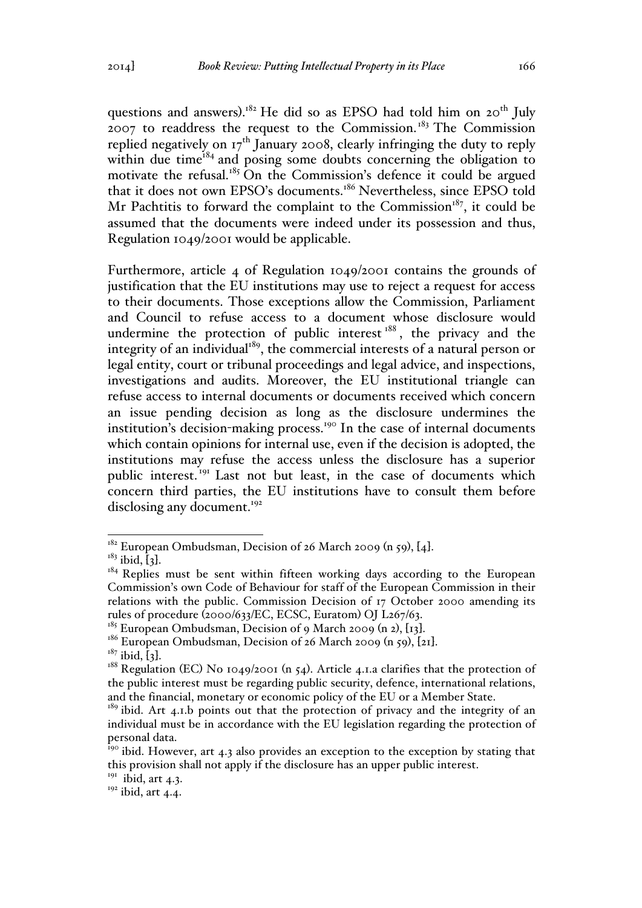questions and answers).<sup>182</sup> He did so as EPSO had told him on 20<sup>th</sup> July  $2007$  to readdress the request to the Commission.<sup>183</sup> The Commission replied negatively on  $17<sup>th</sup>$  January 2008, clearly infringing the duty to reply within due time $^{184}$  and posing some doubts concerning the obligation to motivate the refusal.<sup>185</sup> On the Commission's defence it could be argued that it does not own EPSO's documents.<sup>186</sup> Nevertheless, since EPSO told Mr Pachtitis to forward the complaint to the Commission<sup>187</sup>, it could be assumed that the documents were indeed under its possession and thus, Regulation 1049/2001 would be applicable.

Furthermore, article 4 of Regulation 1049/2001 contains the grounds of justification that the EU institutions may use to reject a request for access to their documents. Those exceptions allow the Commission, Parliament and Council to refuse access to a document whose disclosure would undermine the protection of public interest<sup>188</sup>, the privacy and the integrity of an individual $189$ , the commercial interests of a natural person or legal entity, court or tribunal proceedings and legal advice, and inspections, investigations and audits. Moreover, the EU institutional triangle can refuse access to internal documents or documents received which concern an issue pending decision as long as the disclosure undermines the institution's decision-making process.<sup>190</sup> In the case of internal documents which contain opinions for internal use, even if the decision is adopted, the institutions may refuse the access unless the disclosure has a superior public interest.<sup>191</sup> Last not but least, in the case of documents which concern third parties, the EU institutions have to consult them before disclosing any document.<sup>192</sup>

<sup>&</sup>lt;sup>182</sup> European Ombudsman, Decision of 26 March 2009 (n 59), [4].<br><sup>183</sup> ibid, [3].<br><sup>184</sup> Replies must be sent within fifteen working days according to the European Commission's own Code of Behaviour for staff of the European Commission in their relations with the public. Commission Decision of 17 October 2000 amending its rules of procedure (2000/633/EC, ECSC, Euratom) OJ L267/63.

<sup>&</sup>lt;sup>185</sup> European Ombudsman, Decision of 9 March 2009 (n 2), [13].<br><sup>186</sup> European Ombudsman, Decision of 26 March 2009 (n 59), [21].<br><sup>187</sup> ibid, [3].<br><sup>187</sup> Regulation (EC) No 1049/2001 (n 54). Article 4.1.a clarifies that th the public interest must be regarding public security, defence, international relations, and the financial, monetary or economic policy of the EU or a Member State.<br><sup>189</sup> ibid. Art 4.1.b points out that the protection of privacy and the integrity of an

individual must be in accordance with the EU legislation regarding the protection of personal data.

<sup>&</sup>lt;sup>190</sup> ibid. However, art 4.3 also provides an exception to the exception by stating that this provision shall not apply if the disclosure has an upper public interest.

 $191$  ibid, art 4.3.

 $192$  ibid, art 4.4.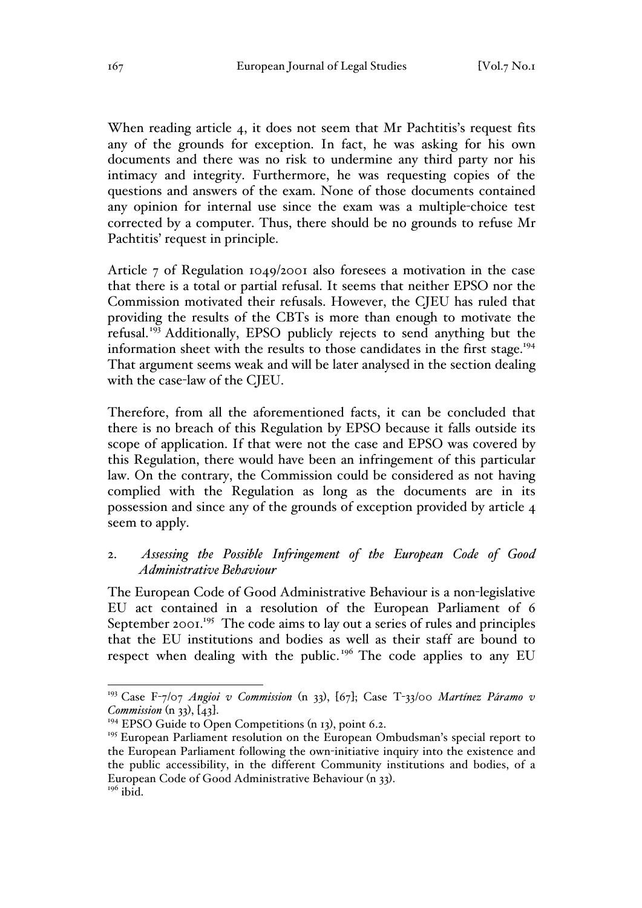When reading article 4, it does not seem that Mr Pachtitis's request fits any of the grounds for exception. In fact, he was asking for his own documents and there was no risk to undermine any third party nor his intimacy and integrity. Furthermore, he was requesting copies of the questions and answers of the exam. None of those documents contained any opinion for internal use since the exam was a multiple-choice test corrected by a computer. Thus, there should be no grounds to refuse Mr Pachtitis' request in principle.

Article 7 of Regulation 1049/2001 also foresees a motivation in the case that there is a total or partial refusal. It seems that neither EPSO nor the Commission motivated their refusals. However, the CJEU has ruled that providing the results of the CBTs is more than enough to motivate the refusal.<sup>193</sup> Additionally, EPSO publicly rejects to send anything but the information sheet with the results to those candidates in the first stage.<sup>194</sup> That argument seems weak and will be later analysed in the section dealing with the case-law of the CJEU.

Therefore, from all the aforementioned facts, it can be concluded that there is no breach of this Regulation by EPSO because it falls outside its scope of application. If that were not the case and EPSO was covered by this Regulation, there would have been an infringement of this particular law. On the contrary, the Commission could be considered as not having complied with the Regulation as long as the documents are in its possession and since any of the grounds of exception provided by article 4 seem to apply.

## 2. *Assessing the Possible Infringement of the European Code of Good Administrative Behaviour*

The European Code of Good Administrative Behaviour is a non-legislative EU act contained in a resolution of the European Parliament of 6 September 2001.<sup>195</sup> The code aims to lay out a series of rules and principles that the EU institutions and bodies as well as their staff are bound to respect when dealing with the public.<sup>196</sup> The code applies to any EU

 <sup>193</sup> Case F-7/07 *Angioi v Commission* (n 33), [67]; Case T-33/00 *Martínez Páramo v Commission* (n 33), [43].<br><sup>194</sup> EPSO Guide to Open Competitions (n 13), point 6.2.

<sup>&</sup>lt;sup>195</sup> European Parliament resolution on the European Ombudsman's special report to the European Parliament following the own-initiative inquiry into the existence and the public accessibility, in the different Community institutions and bodies, of a European Code of Good Administrative Behaviour (n 33). 196 ibid.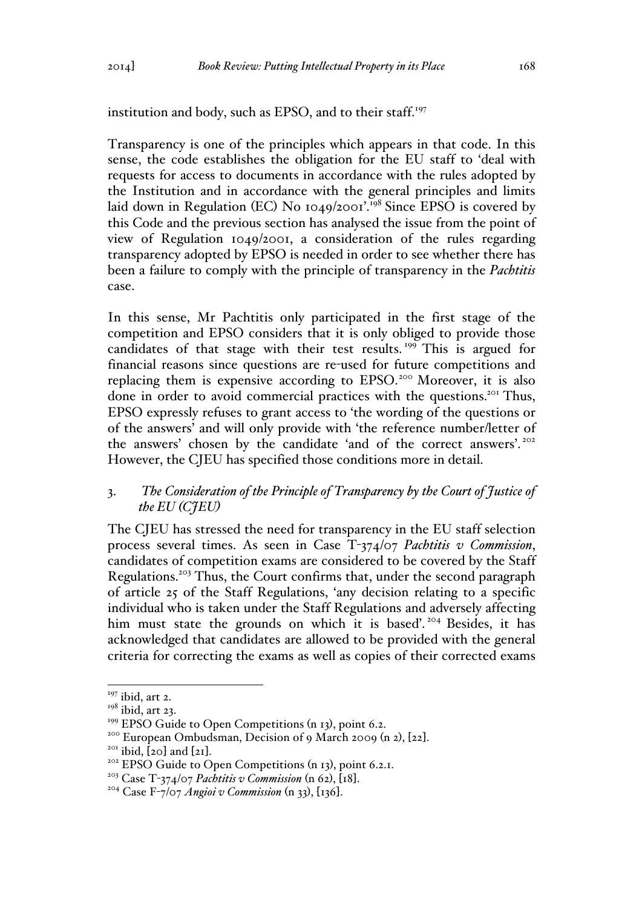institution and body, such as EPSO, and to their staff.<sup>197</sup>

Transparency is one of the principles which appears in that code. In this sense, the code establishes the obligation for the EU staff to 'deal with requests for access to documents in accordance with the rules adopted by the Institution and in accordance with the general principles and limits laid down in Regulation (EC) No  $1049/2001$ .<sup>198</sup> Since EPSO is covered by this Code and the previous section has analysed the issue from the point of view of Regulation 1049/2001, a consideration of the rules regarding transparency adopted by EPSO is needed in order to see whether there has been a failure to comply with the principle of transparency in the *Pachtitis* case.

In this sense, Mr Pachtitis only participated in the first stage of the competition and EPSO considers that it is only obliged to provide those candidates of that stage with their test results.<sup>199</sup> This is argued for financial reasons since questions are re-used for future competitions and replacing them is expensive according to EPSO.<sup>200</sup> Moreover, it is also done in order to avoid commercial practices with the questions.<sup>201</sup> Thus, EPSO expressly refuses to grant access to 'the wording of the questions or of the answers' and will only provide with 'the reference number/letter of the answers' chosen by the candidate 'and of the correct answers'. <sup>202</sup> However, the CJEU has specified those conditions more in detail.

# 3. *The Consideration of the Principle of Transparency by the Court of Justice of the EU (CJEU)*

The CJEU has stressed the need for transparency in the EU staff selection process several times. As seen in Case T-374/07 *Pachtitis v Commission*, candidates of competition exams are considered to be covered by the Staff Regulations.203 Thus, the Court confirms that, under the second paragraph of article 25 of the Staff Regulations, 'any decision relating to a specific individual who is taken under the Staff Regulations and adversely affecting him must state the grounds on which it is based'.<sup>204</sup> Besides, it has acknowledged that candidates are allowed to be provided with the general criteria for correcting the exams as well as copies of their corrected exams

 $197$  ibid, art 2.

 $198$  ibid, art 23.<br><sup>199</sup> EPSO Guide to Open Competitions (n 13), point 6.2.

<sup>&</sup>lt;sup>200</sup> European Ombudsman, Decision of 9 March 2009 (n 2), [22].<br><sup>201</sup> ibid, [20] and [21].<br><sup>202</sup> EPSO Guide to Open Competitions (n 13), point 6.2.1.

<sup>&</sup>lt;sup>203</sup> Case T-374/07 *Pachtitis v Commission* (n 62), [18].<br><sup>204</sup> Case F-7/07 *Angioi v Commission* (n 33), [136].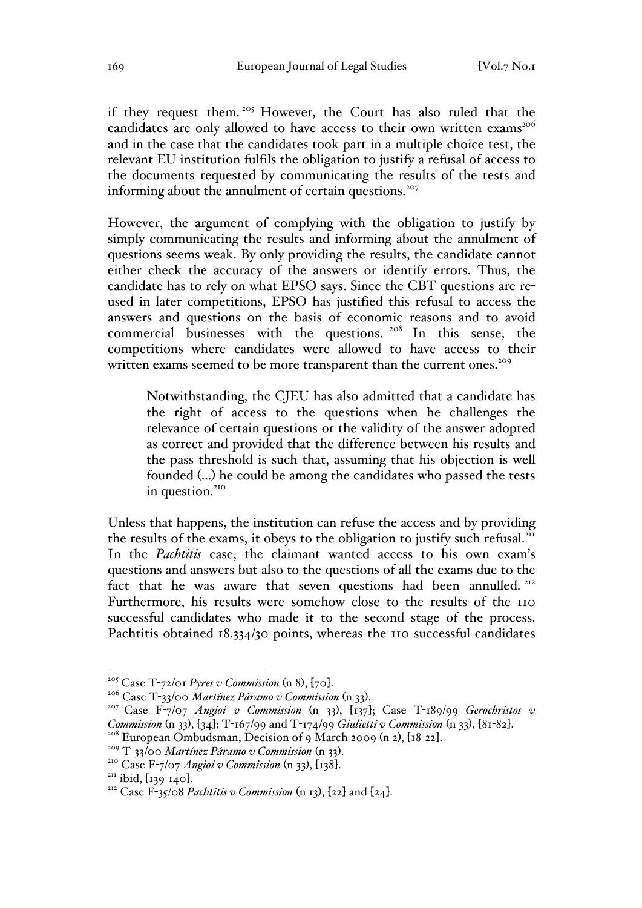if they request them. <sup>205</sup> However, the Court has also ruled that the candidates are only allowed to have access to their own written exams<sup>206</sup> and in the case that the candidates took part in a multiple choice test, the relevant EU institution fulfils the obligation to justify a refusal of access to the documents requested by communicating the results of the tests and informing about the annulment of certain questions.<sup>207</sup>

However, the argument of complying with the obligation to justify by simply communicating the results and informing about the annulment of questions seems weak. By only providing the results, the candidate cannot either check the accuracy of the answers or identify errors. Thus, the candidate has to rely on what EPSO says. Since the CBT questions are reused in later competitions, EPSO has justified this refusal to access the answers and questions on the basis of economic reasons and to avoid commercial businesses with the questions. <sup>208</sup> In this sense, the competitions where candidates were allowed to have access to their written exams seemed to be more transparent than the current ones.<sup>209</sup>

Notwithstanding, the CJEU has also admitted that a candidate has the right of access to the questions when he challenges the relevance of certain questions or the validity of the answer adopted as correct and provided that the difference between his results and the pass threshold is such that, assuming that his objection is well founded (…) he could be among the candidates who passed the tests in question.<sup>210</sup>

Unless that happens, the institution can refuse the access and by providing the results of the exams, it obeys to the obligation to justify such refusal.<sup>211</sup> In the *Pachtitis* case, the claimant wanted access to his own exam's questions and answers but also to the questions of all the exams due to the fact that he was aware that seven questions had been annulled.<sup>212</sup> Furthermore, his results were somehow close to the results of the 110 successful candidates who made it to the second stage of the process. Pachtitis obtained 18.334/30 points, whereas the 110 successful candidates

<sup>&</sup>lt;sup>205</sup> Case T-72/01 *Pyres v Commission* (n 8), [70].<br><sup>206</sup> Case T-33/00 *Martínez Páramo v Commission* (n 33).<br><sup>207</sup> Case F-7/07 *Angioi v Commission* (n 33), [137]; Case T-189/99 *Gerochristos v Commission* (n 33), [34]; T-167/99 and T-174/99 *Giulietti v Commission* (n 33), [81-82].<br><sup>208</sup> European Ombudsman, Decision of 9 March 2009 (n 2), [18-22].<br><sup>209</sup> T-33/00 *Martínez Páramo v Commission* (n 33).<br><sup>210</sup> Case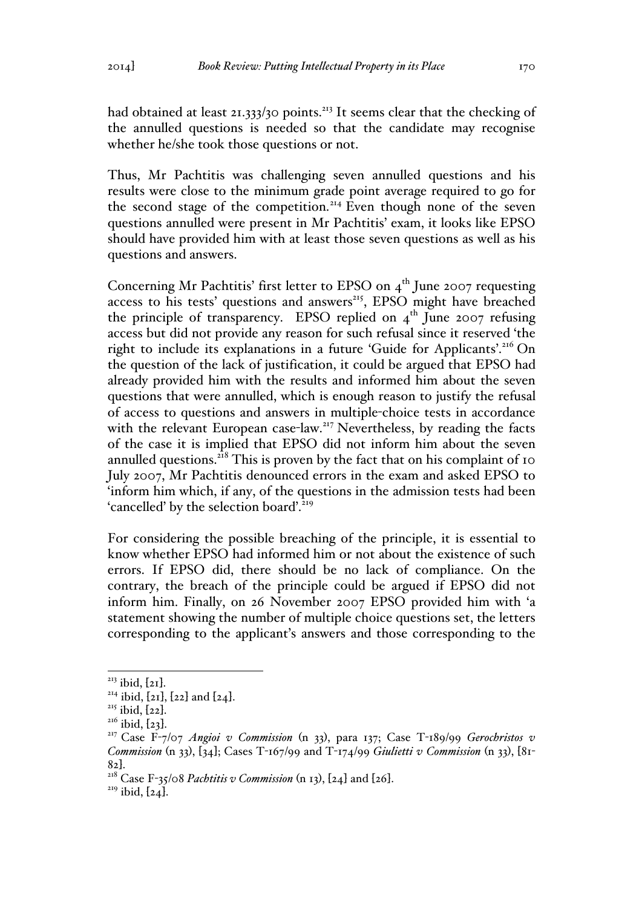had obtained at least 21.333/30 points.<sup>213</sup> It seems clear that the checking of the annulled questions is needed so that the candidate may recognise whether he/she took those questions or not.

Thus, Mr Pachtitis was challenging seven annulled questions and his results were close to the minimum grade point average required to go for the second stage of the competition.<sup>214</sup> Even though none of the seven questions annulled were present in Mr Pachtitis' exam, it looks like EPSO should have provided him with at least those seven questions as well as his questions and answers.

Concerning Mr Pachtitis' first letter to EPSO on  $4<sup>th</sup>$  June 2007 requesting access to his tests' questions and answers<sup>215</sup>, EPSO might have breached the principle of transparency. EPSO replied on  $4<sup>th</sup>$  June 2007 refusing access but did not provide any reason for such refusal since it reserved 'the right to include its explanations in a future 'Guide for Applicants'.<sup>216</sup> On the question of the lack of justification, it could be argued that EPSO had already provided him with the results and informed him about the seven questions that were annulled, which is enough reason to justify the refusal of access to questions and answers in multiple-choice tests in accordance with the relevant European case-law.<sup>217</sup> Nevertheless, by reading the facts of the case it is implied that EPSO did not inform him about the seven annulled questions. $^{218}$  This is proven by the fact that on his complaint of 10 July 2007, Mr Pachtitis denounced errors in the exam and asked EPSO to 'inform him which, if any, of the questions in the admission tests had been 'cancelled' by the selection board'.<sup>219</sup>

For considering the possible breaching of the principle, it is essential to know whether EPSO had informed him or not about the existence of such errors. If EPSO did, there should be no lack of compliance. On the contrary, the breach of the principle could be argued if EPSO did not inform him. Finally, on 26 November 2007 EPSO provided him with 'a statement showing the number of multiple choice questions set, the letters corresponding to the applicant's answers and those corresponding to the

<sup>&</sup>lt;sup>213</sup> ibid, [21].<br><sup>214</sup> ibid, [21], [22] and [24].<br><sup>215</sup> ibid, [22].<br><sup>215</sup> ibid, [23].<br><sup>217</sup> Case F-7/07 *Angioi v Commission* (n 33), para 137; Case T-189/99 *Gerochristos v Commission* (n 33), [34]; Cases T-167/99 and T-174/99 *Giulietti v Commission* (n 33), [81-

<sup>&</sup>lt;sup>218</sup> Case F-35/08 *Pachtitis v Commission* (n 13), [24] and [26].<br><sup>219</sup> ibid, [24].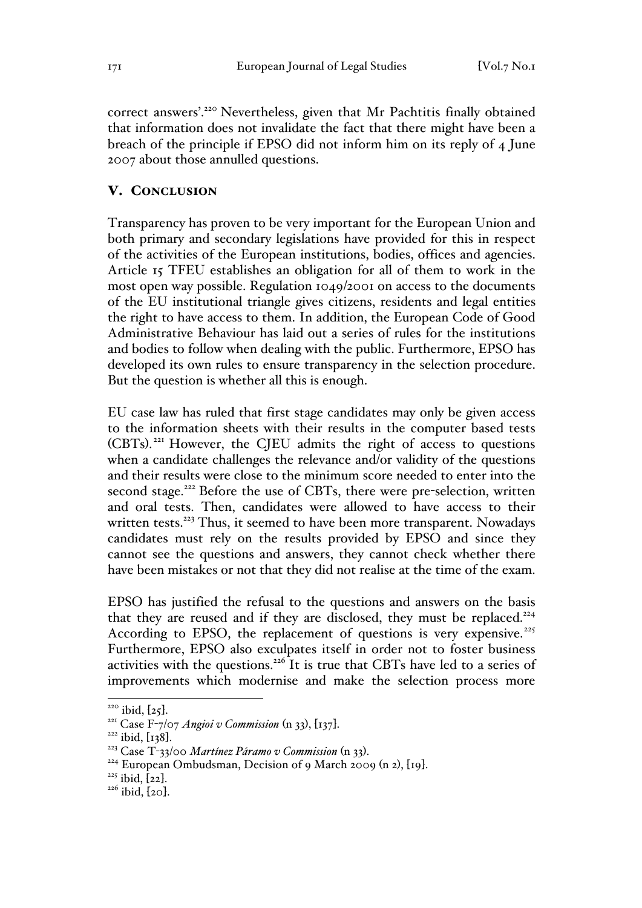correct answers'.220 Nevertheless, given that Mr Pachtitis finally obtained that information does not invalidate the fact that there might have been a breach of the principle if EPSO did not inform him on its reply of 4 June 2007 about those annulled questions.

# V. CONCLUSION

Transparency has proven to be very important for the European Union and both primary and secondary legislations have provided for this in respect of the activities of the European institutions, bodies, offices and agencies. Article 15 TFEU establishes an obligation for all of them to work in the most open way possible. Regulation 1049/2001 on access to the documents of the EU institutional triangle gives citizens, residents and legal entities the right to have access to them. In addition, the European Code of Good Administrative Behaviour has laid out a series of rules for the institutions and bodies to follow when dealing with the public. Furthermore, EPSO has developed its own rules to ensure transparency in the selection procedure. But the question is whether all this is enough.

EU case law has ruled that first stage candidates may only be given access to the information sheets with their results in the computer based tests (CBTs). <sup>221</sup> However, the CJEU admits the right of access to questions when a candidate challenges the relevance and/or validity of the questions and their results were close to the minimum score needed to enter into the second stage.<sup>222</sup> Before the use of CBTs, there were pre-selection, written and oral tests. Then, candidates were allowed to have access to their written tests.<sup>223</sup> Thus, it seemed to have been more transparent. Nowadays candidates must rely on the results provided by EPSO and since they cannot see the questions and answers, they cannot check whether there have been mistakes or not that they did not realise at the time of the exam.

EPSO has justified the refusal to the questions and answers on the basis that they are reused and if they are disclosed, they must be replaced.<sup>224</sup> According to EPSO, the replacement of questions is very expensive. $225$ Furthermore, EPSO also exculpates itself in order not to foster business activities with the questions.<sup>226</sup> It is true that CBTs have led to a series of improvements which modernise and make the selection process more

<sup>&</sup>lt;sup>220</sup> ibid, [25].<br><sup>221</sup> Case F-7/07 *Angioi v Commission* (n 33), [137].<br><sup>222</sup> ibid, [138].<br><sup>223</sup> Case T-33/00 *Martínez Páramo v Commission* (n 33).<br><sup>224</sup> European Ombudsman, Decision of 9 March 2009 (n 2), [19].<br><sup>225</sup> i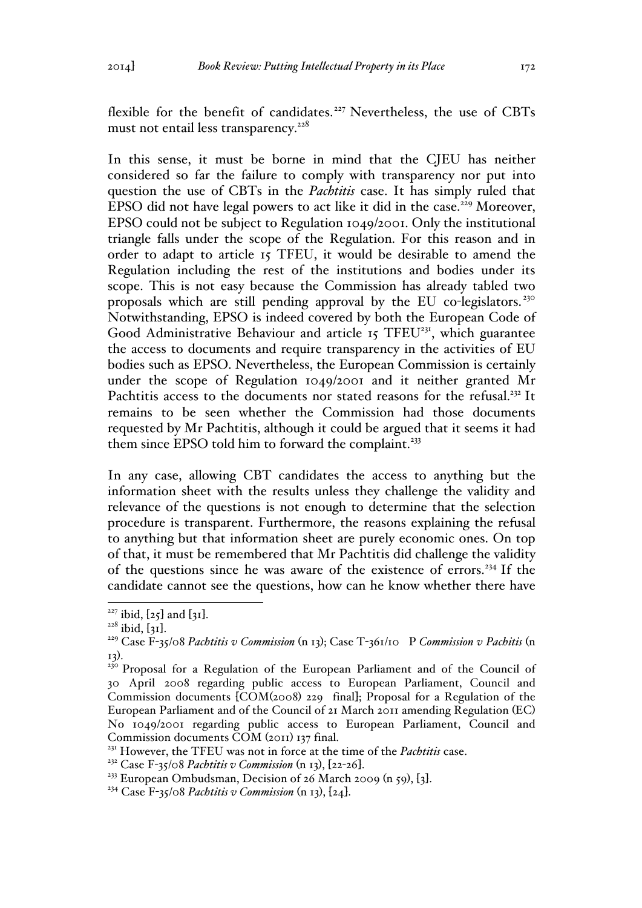flexible for the benefit of candidates.<sup>227</sup> Nevertheless, the use of CBTs must not entail less transparency. $228$ 

In this sense, it must be borne in mind that the CJEU has neither considered so far the failure to comply with transparency nor put into question the use of CBTs in the *Pachtitis* case. It has simply ruled that EPSO did not have legal powers to act like it did in the case.<sup>229</sup> Moreover, EPSO could not be subject to Regulation 1049/2001. Only the institutional triangle falls under the scope of the Regulation. For this reason and in order to adapt to article 15 TFEU, it would be desirable to amend the Regulation including the rest of the institutions and bodies under its scope. This is not easy because the Commission has already tabled two proposals which are still pending approval by the EU co-legislators.<sup>230</sup> Notwithstanding, EPSO is indeed covered by both the European Code of Good Administrative Behaviour and article 15 TFEU<sup>231</sup>, which guarantee the access to documents and require transparency in the activities of EU bodies such as EPSO. Nevertheless, the European Commission is certainly under the scope of Regulation 1049/2001 and it neither granted Mr Pachtitis access to the documents nor stated reasons for the refusal.<sup>232</sup> It remains to be seen whether the Commission had those documents requested by Mr Pachtitis, although it could be argued that it seems it had them since EPSO told him to forward the complaint.<sup>233</sup>

In any case, allowing CBT candidates the access to anything but the information sheet with the results unless they challenge the validity and relevance of the questions is not enough to determine that the selection procedure is transparent. Furthermore, the reasons explaining the refusal to anything but that information sheet are purely economic ones. On top of that, it must be remembered that Mr Pachtitis did challenge the validity of the questions since he was aware of the existence of errors.<sup>234</sup> If the candidate cannot see the questions, how can he know whether there have

<sup>&</sup>lt;sup>227</sup> ibid, [25] and [31].<br><sup>228</sup> ibid, [31].<br><sup>229</sup> Case F-35/08 *Pachtitis v Commission* (n 13); Case T-361/10 P *Commission v Pachitis* (n

<sup>13</sup>). <sup>230</sup> Proposal for a Regulation of the European Parliament and of the Council of 30 April 2008 regarding public access to European Parliament, Council and Commission documents [COM(2008) 229 final]; Proposal for a Regulation of the European Parliament and of the Council of 21 March 2011 amending Regulation (EC) No 1049/2001 regarding public access to European Parliament, Council and Commission documents COM (2011) 137 final.

<sup>&</sup>lt;sup>231</sup> However, the TFEU was not in force at the time of the *Pachtitis* case.

<sup>&</sup>lt;sup>232</sup> Case F-35/08 *Pachtitis v Commission* (n 13), [22-26].<br><sup>233</sup> European Ombudsman, Decision of 26 March 2009 (n 59), [3].<br><sup>234</sup> Case F-35/08 *Pachtitis v Commission* (n 13), [24].